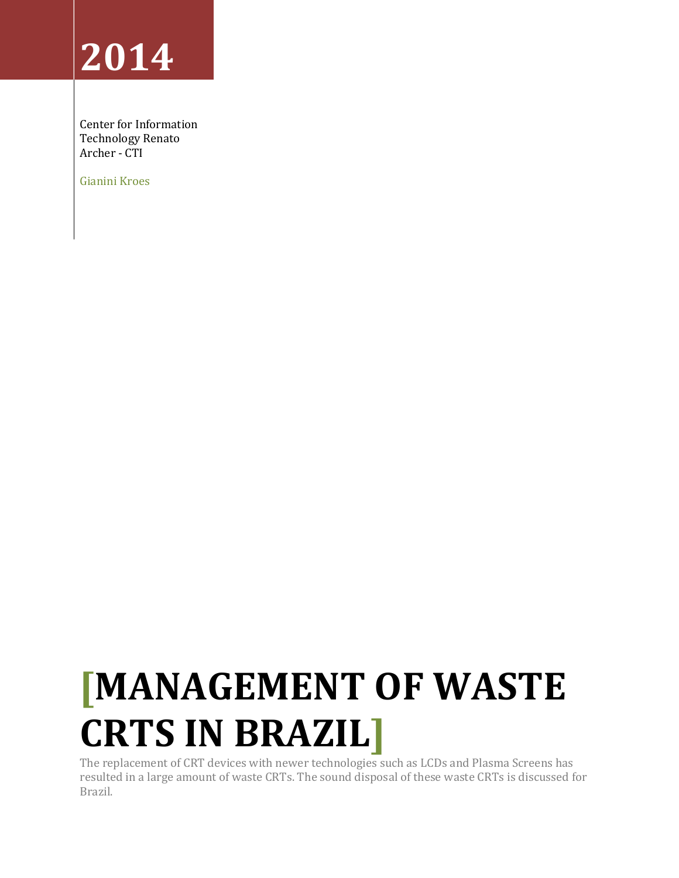# **2014**

Center for Information Technology Renato Archer - CTI

Gianini Kroes

# **[MANAGEMENT OF WASTE CRTS IN BRAZIL]**

The replacement of CRT devices with newer technologies such as LCDs and Plasma Screens has resulted in a large amount of waste CRTs. The sound disposal of these waste CRTs is discussed for Brazil.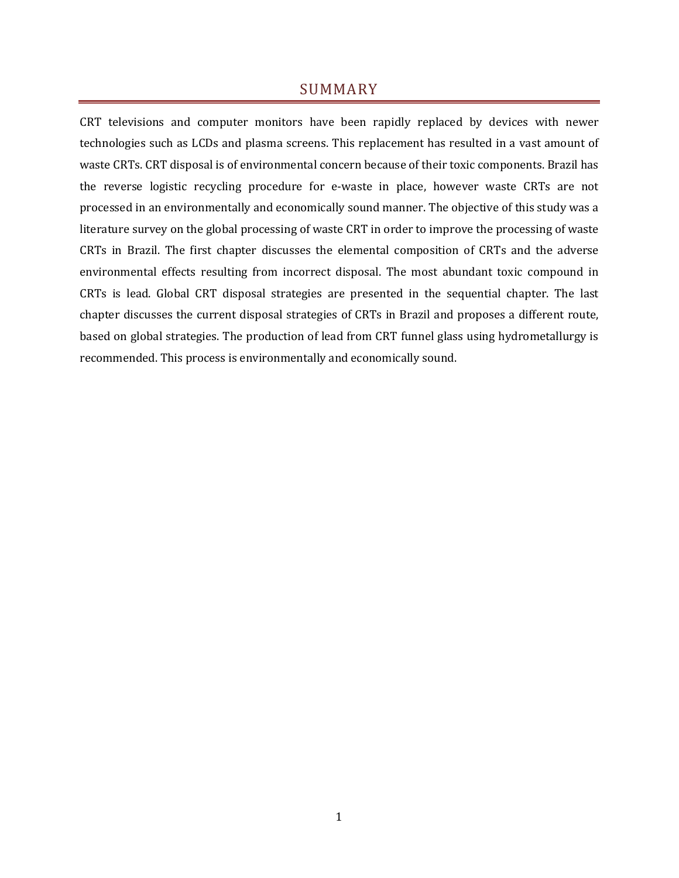# SUMMARY

CRT televisions and computer monitors have been rapidly replaced by devices with newer technologies such as LCDs and plasma screens. This replacement has resulted in a vast amount of waste CRTs. CRT disposal is of environmental concern because of their toxic components. Brazil has the reverse logistic recycling procedure for e-waste in place, however waste CRTs are not processed in an environmentally and economically sound manner. The objective of this study was a literature survey on the global processing of waste CRT in order to improve the processing of waste CRTs in Brazil. The first chapter discusses the elemental composition of CRTs and the adverse environmental effects resulting from incorrect disposal. The most abundant toxic compound in CRTs is lead. Global CRT disposal strategies are presented in the sequential chapter. The last chapter discusses the current disposal strategies of CRTs in Brazil and proposes a different route, based on global strategies. The production of lead from CRT funnel glass using hydrometallurgy is recommended. This process is environmentally and economically sound.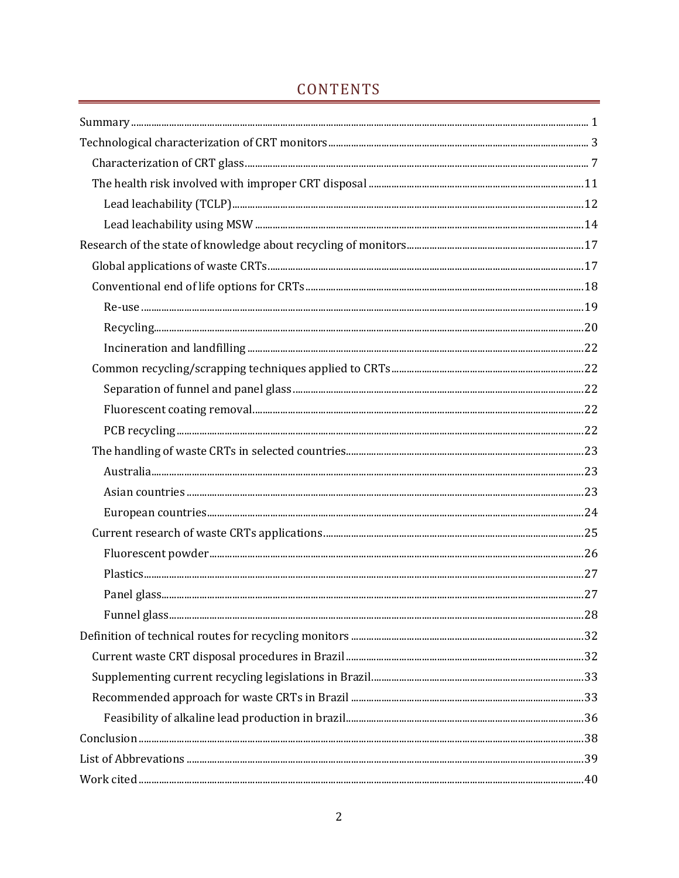# CONTENTS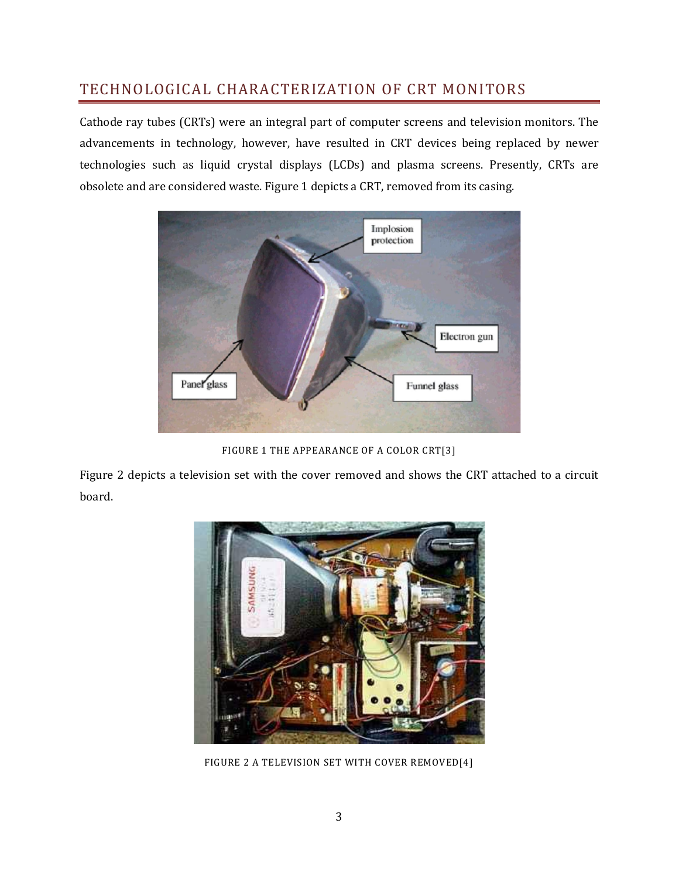# TECHNOLOGICAL CHARACTERIZATION OF CRT MONITORS

Cathode ray tubes (CRTs) were an integral part of computer screens and television monitors. The advancements in technology, however, have resulted in CRT devices being replaced by newer technologies such as liquid crystal displays (LCDs) and plasma screens. Presently, CRTs are obsolete and are considered waste. Figure 1 depicts a CRT, removed from its casing.



FIGURE 1 THE APPEARANCE OF A COLOR CRT[3]

Figure 2 depicts a television set with the cover removed and shows the CRT attached to a circuit board.



FIGURE 2 A TELEVISION SET WITH COVER REMOVED[4]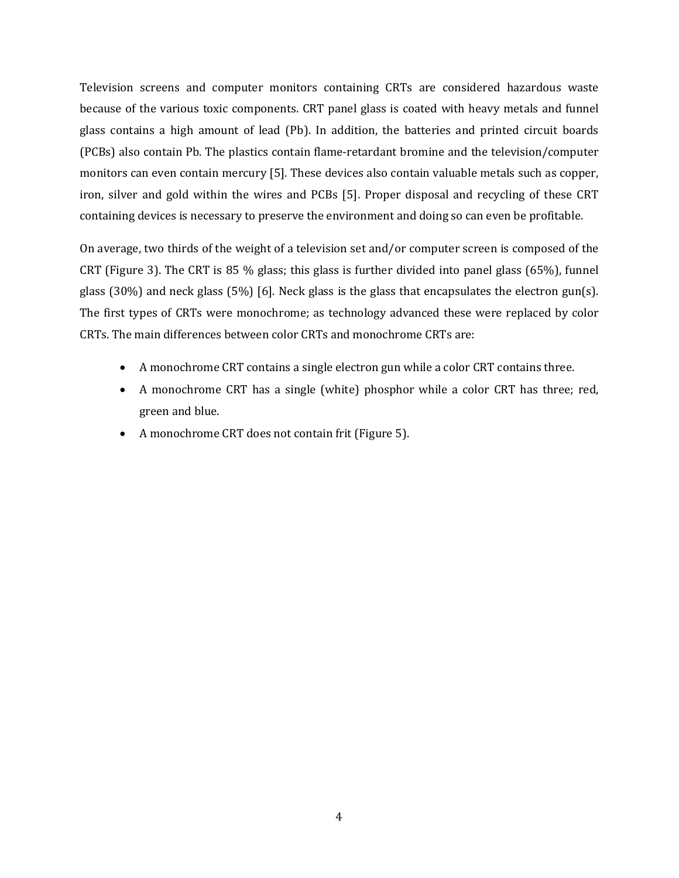Television screens and computer monitors containing CRTs are considered hazardous waste because of the various toxic components. CRT panel glass is coated with heavy metals and funnel glass contains a high amount of lead (Pb). In addition, the batteries and printed circuit boards (PCBs) also contain Pb. The plastics contain flame-retardant bromine and the television/computer monitors can even contain mercury [5]. These devices also contain valuable metals such as copper, iron, silver and gold within the wires and PCBs [5]. Proper disposal and recycling of these CRT containing devices is necessary to preserve the environment and doing so can even be profitable.

On average, two thirds of the weight of a television set and/or computer screen is composed of the CRT (Figure 3). The CRT is 85 % glass; this glass is further divided into panel glass (65%), funnel glass (30%) and neck glass (5%) [6]. Neck glass is the glass that encapsulates the electron gun(s). The first types of CRTs were monochrome; as technology advanced these were replaced by color CRTs. The main differences between color CRTs and monochrome CRTs are:

- A monochrome CRT contains a single electron gun while a color CRT contains three.
- A monochrome CRT has a single (white) phosphor while a color CRT has three; red, green and blue.
- A monochrome CRT does not contain frit (Figure 5).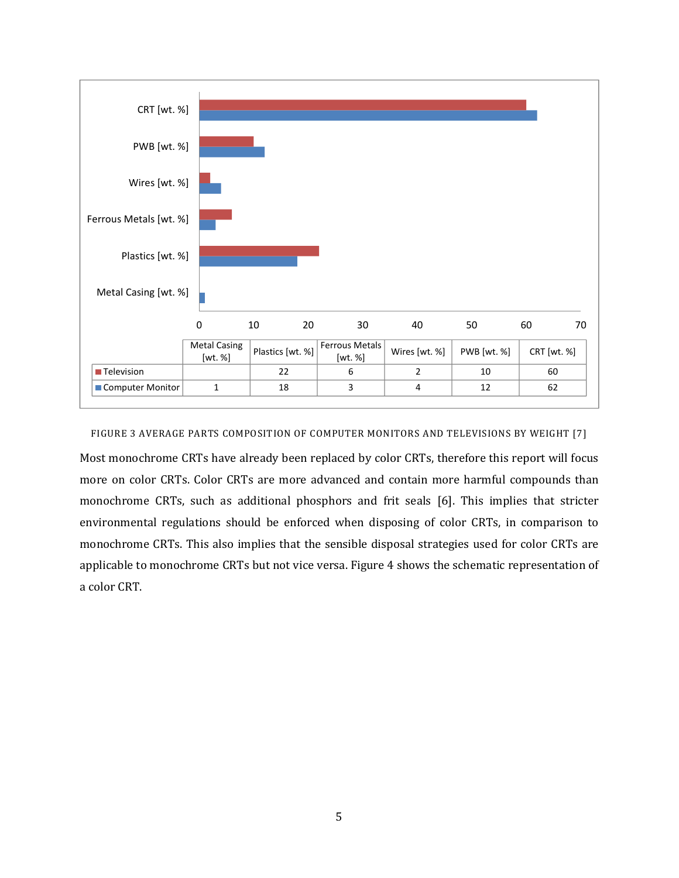

FIGURE 3 AVERAGE PARTS COMPOSITION OF COMPUTER MONITORS AND TELEVISIONS BY WEIGHT [7]

Most monochrome CRTs have already been replaced by color CRTs, therefore this report will focus more on color CRTs. Color CRTs are more advanced and contain more harmful compounds than monochrome CRTs, such as additional phosphors and frit seals [6]. This implies that stricter environmental regulations should be enforced when disposing of color CRTs, in comparison to monochrome CRTs. This also implies that the sensible disposal strategies used for color CRTs are applicable to monochrome CRTs but not vice versa. Figure 4 shows the schematic representation of a color CRT.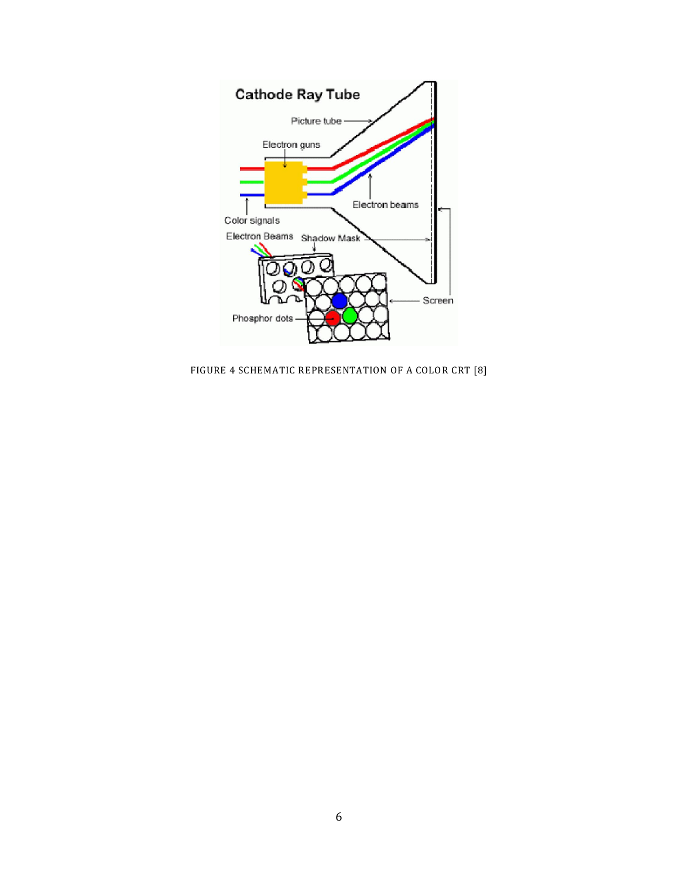

FIGURE 4 SCHEMATIC REPRESENTATION OF A COLOR CRT [8]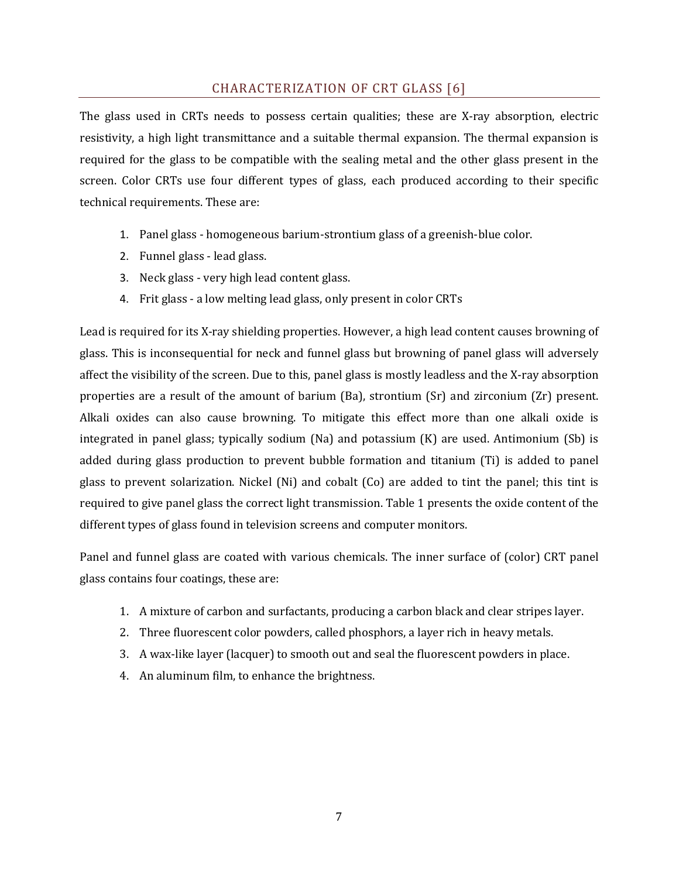# CHARACTERIZATION OF CRT GLASS [6]

The glass used in CRTs needs to possess certain qualities; these are X-ray absorption, electric resistivity, a high light transmittance and a suitable thermal expansion. The thermal expansion is required for the glass to be compatible with the sealing metal and the other glass present in the screen. Color CRTs use four different types of glass, each produced according to their specific technical requirements. These are:

- 1. Panel glass homogeneous barium-strontium glass of a greenish-blue color.
- 2. Funnel glass lead glass.
- 3. Neck glass very high lead content glass.
- 4. Frit glass a low melting lead glass, only present in color CRTs

Lead is required for its X-ray shielding properties. However, a high lead content causes browning of glass. This is inconsequential for neck and funnel glass but browning of panel glass will adversely affect the visibility of the screen. Due to this, panel glass is mostly leadless and the X-ray absorption properties are a result of the amount of barium (Ba), strontium (Sr) and zirconium (Zr) present. Alkali oxides can also cause browning. To mitigate this effect more than one alkali oxide is integrated in panel glass; typically sodium (Na) and potassium  $(K)$  are used. Antimonium (Sb) is added during glass production to prevent bubble formation and titanium (Ti) is added to panel glass to prevent solarization. Nickel (Ni) and cobalt (Co) are added to tint the panel; this tint is required to give panel glass the correct light transmission. Table 1 presents the oxide content of the different types of glass found in television screens and computer monitors.

Panel and funnel glass are coated with various chemicals. The inner surface of (color) CRT panel glass contains four coatings, these are:

- 1. A mixture of carbon and surfactants, producing a carbon black and clear stripes layer.
- 2. Three fluorescent color powders, called phosphors, a layer rich in heavy metals.
- 3. A wax-like layer (lacquer) to smooth out and seal the fluorescent powders in place.
- 4. An aluminum film, to enhance the brightness.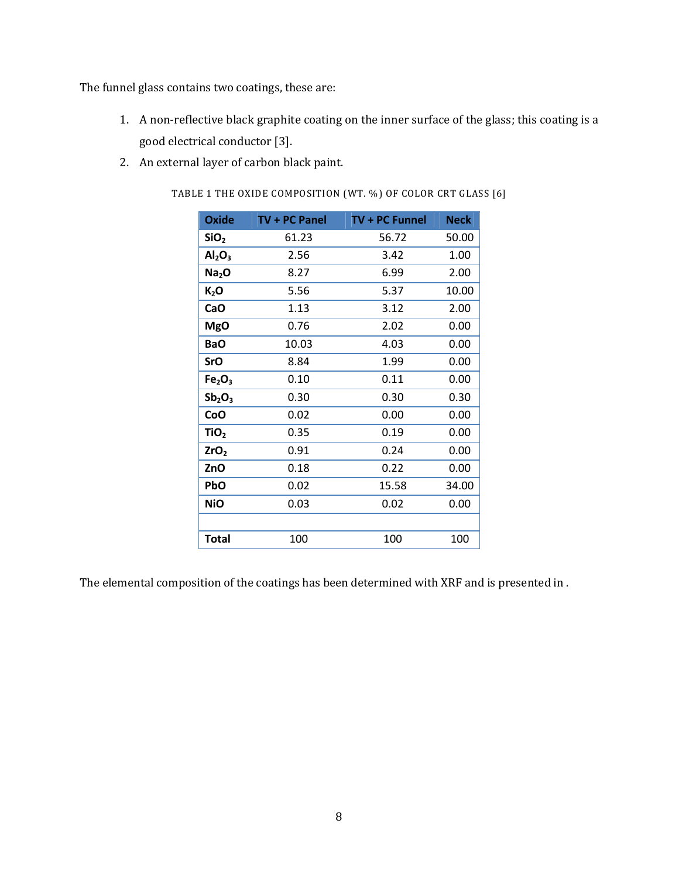The funnel glass contains two coatings, these are:

- 1. A non-reflective black graphite coating on the inner surface of the glass; this coating is a good electrical conductor [3].
- 2. An external layer of carbon black paint.

TABLE 1 THE OXIDE COMPOSITION (WT. %) OF COLOR CRT GLASS [6]

| <b>Oxide</b>                   | TV + PC Panel | TV + PC Funnel | <b>Neck</b> |
|--------------------------------|---------------|----------------|-------------|
| SiO <sub>2</sub>               | 61.23         | 56.72          | 50.00       |
| Al <sub>2</sub> O <sub>3</sub> | 2.56          | 3.42           | 1.00        |
| Na <sub>2</sub> O              | 8.27          | 6.99           | 2.00        |
| $K_2$ O                        | 5.56          | 5.37           | 10.00       |
| CaO                            | 1.13          | 3.12           | 2.00        |
| <b>MgO</b>                     | 0.76          | 2.02           | 0.00        |
| <b>BaO</b>                     | 10.03         | 4.03           | 0.00        |
| SrO                            | 8.84          | 1.99           | 0.00        |
| Fe <sub>2</sub> O <sub>3</sub> | 0.10          | 0.11           | 0.00        |
| $Sb_2O_3$                      | 0.30          | 0.30           | 0.30        |
| CoO                            | 0.02          | 0.00           | 0.00        |
| TiO <sub>2</sub>               | 0.35          | 0.19           | 0.00        |
| ZrO <sub>2</sub>               | 0.91          | 0.24           | 0.00        |
| ZnO                            | 0.18          | 0.22           | 0.00        |
| PbO                            | 0.02          | 15.58          | 34.00       |
| <b>NiO</b>                     | 0.03          | 0.02           | 0.00        |
|                                |               |                |             |
| <b>Total</b>                   | 100           | 100            | 100         |

The elemental composition of the coatings has been determined with XRF and is presented in .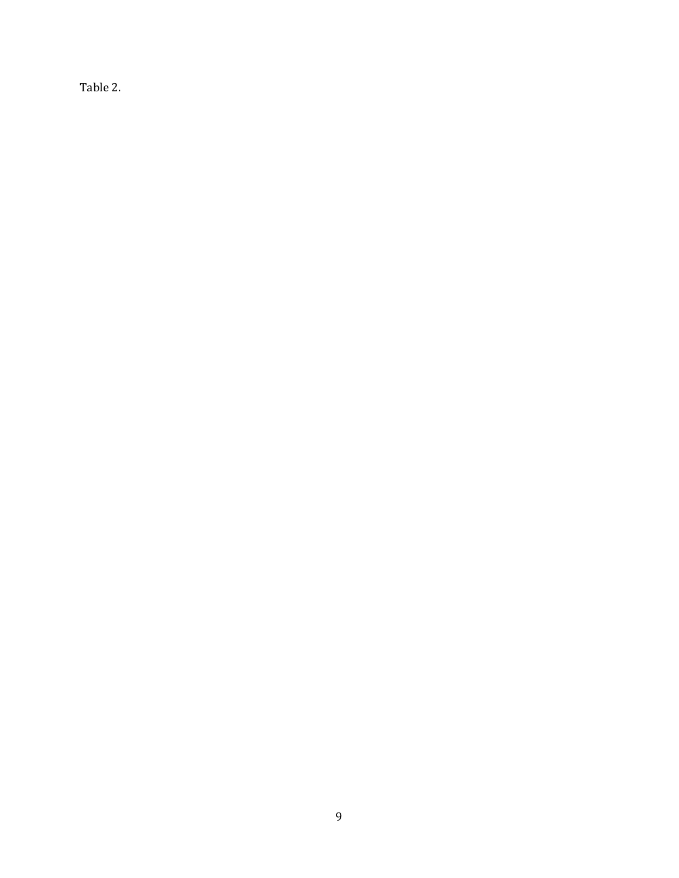Table 2.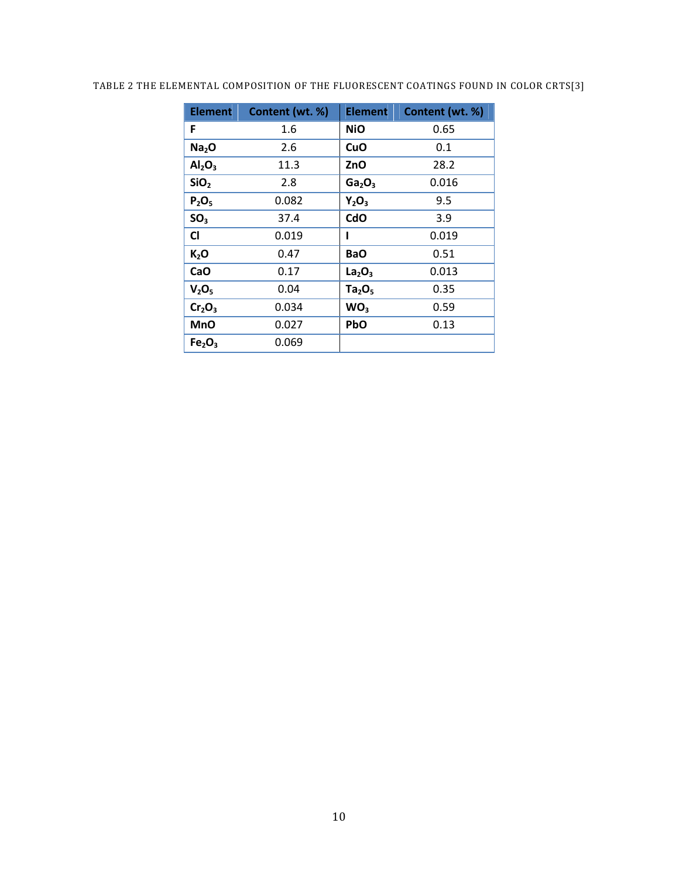# TABLE 2 THE ELEMENTAL COMPOSITION OF THE FLUORESCENT COATINGS FOUND IN COLOR CRTS[3]

| <b>Element</b>                 | Content (wt. %) | <b>Element</b>                 | Content (wt. %) |
|--------------------------------|-----------------|--------------------------------|-----------------|
| F                              | 1.6             | <b>NiO</b>                     | 0.65            |
| Na <sub>2</sub> O              | 2.6             | CuO                            | 0.1             |
| $\mathsf{Al}_2\mathsf{O}_3$    | 11.3            | ZnO                            | 28.2            |
| SiO <sub>2</sub>               | 2.8             | Ga <sub>2</sub> O <sub>3</sub> | 0.016           |
| $P_2O_5$                       | 0.082           | $Y_2O_3$                       | 9.5             |
| SO <sub>3</sub>                | 37.4            | CdO                            | 3.9             |
| <b>CI</b>                      | 0.019           | ı                              | 0.019           |
| $K_2$ O                        | 0.47            | <b>BaO</b>                     | 0.51            |
| CaO                            | 0.17            | La <sub>2</sub> O <sub>3</sub> | 0.013           |
| V <sub>2</sub> O <sub>5</sub>  | 0.04            | Ta <sub>2</sub> O <sub>5</sub> | 0.35            |
| Cr <sub>2</sub> O <sub>3</sub> | 0.034           | WO <sub>3</sub>                | 0.59            |
| <b>MnO</b>                     | 0.027           | PbO                            | 0.13            |
| Fe <sub>2</sub> O <sub>3</sub> | 0.069           |                                |                 |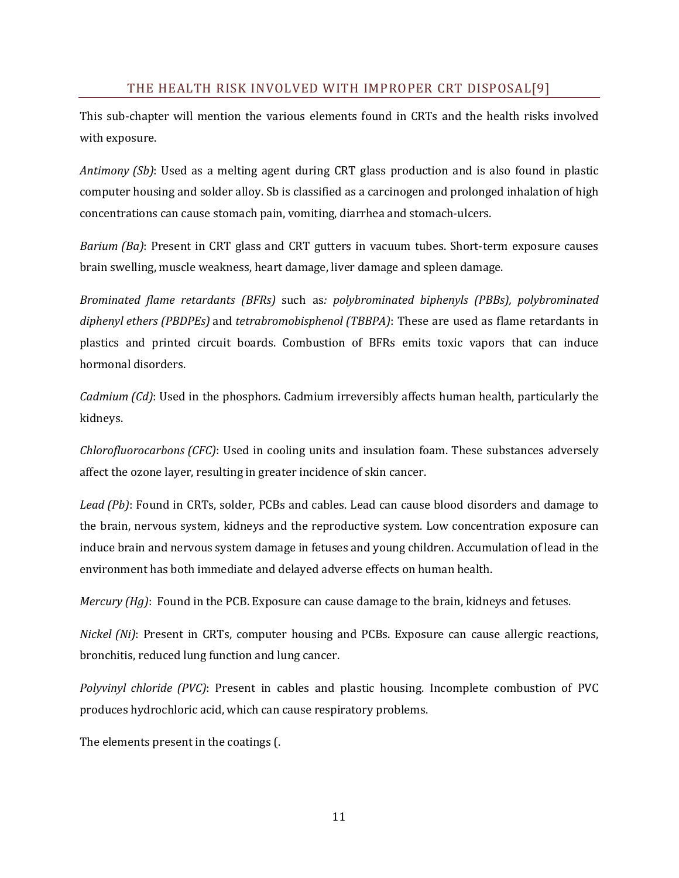# THE HEALTH RISK INVOLVED WITH IMPROPER CRT DISPOSAL[9]

This sub-chapter will mention the various elements found in CRTs and the health risks involved with exposure.

*Antimony (Sb)*: Used as a melting agent during CRT glass production and is also found in plastic computer housing and solder alloy. Sb is classified as a carcinogen and prolonged inhalation of high concentrations can cause stomach pain, vomiting, diarrhea and stomach-ulcers.

*Barium (Ba)*: Present in CRT glass and CRT gutters in vacuum tubes. Short-term exposure causes brain swelling, muscle weakness, heart damage, liver damage and spleen damage.

*Brominated flame retardants (BFRs)* such as*: polybrominated biphenyls (PBBs), polybrominated diphenyl ethers (PBDPEs)* and *tetrabromobisphenol (TBBPA)*: These are used as flame retardants in plastics and printed circuit boards. Combustion of BFRs emits toxic vapors that can induce hormonal disorders.

*Cadmium (Cd)*: Used in the phosphors. Cadmium irreversibly affects human health, particularly the kidneys.

*Chlorofluorocarbons (CFC)*: Used in cooling units and insulation foam. These substances adversely affect the ozone layer, resulting in greater incidence of skin cancer.

*Lead (Pb)*: Found in CRTs, solder, PCBs and cables. Lead can cause blood disorders and damage to the brain, nervous system, kidneys and the reproductive system. Low concentration exposure can induce brain and nervous system damage in fetuses and young children. Accumulation of lead in the environment has both immediate and delayed adverse effects on human health.

*Mercury (Hg)*: Found in the PCB. Exposure can cause damage to the brain, kidneys and fetuses.

*Nickel (Ni)*: Present in CRTs, computer housing and PCBs. Exposure can cause allergic reactions, bronchitis, reduced lung function and lung cancer.

*Polyvinyl chloride (PVC)*: Present in cables and plastic housing. Incomplete combustion of PVC produces hydrochloric acid, which can cause respiratory problems.

The elements present in the coatings (.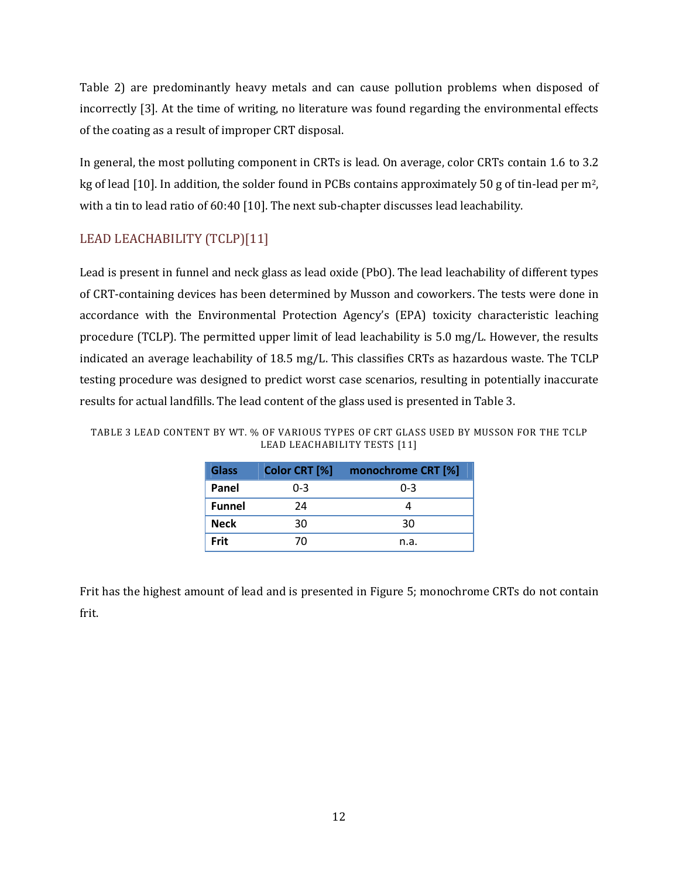Table 2) are predominantly heavy metals and can cause pollution problems when disposed of incorrectly [3]. At the time of writing, no literature was found regarding the environmental effects of the coating as a result of improper CRT disposal.

In general, the most polluting component in CRTs is lead. On average, color CRTs contain 1.6 to 3.2 kg of lead [10]. In addition, the solder found in PCBs contains approximately 50 g of tin-lead per m2, with a tin to lead ratio of 60:40 [10]. The next sub-chapter discusses lead leachability.

# LEAD LEACHABILITY (TCLP)[11]

Lead is present in funnel and neck glass as lead oxide (PbO). The lead leachability of different types of CRT-containing devices has been determined by Musson and coworkers. The tests were done in accordance with the Environmental Protection Agency's (EPA) toxicity characteristic leaching procedure (TCLP). The permitted upper limit of lead leachability is 5.0 mg/L. However, the results indicated an average leachability of 18.5 mg/L. This classifies CRTs as hazardous waste. The TCLP testing procedure was designed to predict worst case scenarios, resulting in potentially inaccurate results for actual landfills. The lead content of the glass used is presented in Table 3.

| <b>Glass</b>  | Color CRT [%] | monochrome CRT [%] |
|---------------|---------------|--------------------|
| Panel         | $0 - 3$       | $0 - 3$            |
| <b>Funnel</b> | 24            |                    |
| <b>Neck</b>   | 30            | 30                 |
| <b>Frit</b>   | 70            | n.a.               |

TABLE 3 LEAD CONTENT BY WT. % OF VARIOUS TYPES OF CRT GLASS USED BY MUSSON FOR THE TCLP LEAD LEACHABILITY TESTS [11]

Frit has the highest amount of lead and is presented in Figure 5; monochrome CRTs do not contain frit.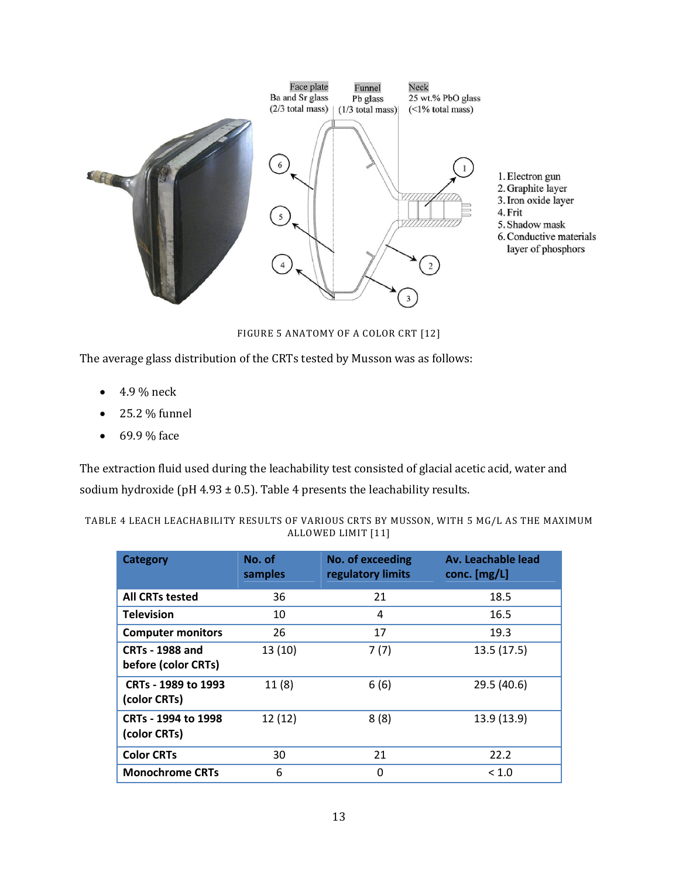

FIGURE 5 ANATOMY OF A COLOR CRT [12]

The average glass distribution of the CRTs tested by Musson was as follows:

- $\bullet$  4.9 % neck
- 25.2 % funnel
- $69.9\%$  face

The extraction fluid used during the leachability test consisted of glacial acetic acid, water and sodium hydroxide (pH 4.93  $\pm$  0.5). Table 4 presents the leachability results.

| TABLE 4 LEACH LEACHABILITY RESULTS OF VARIOUS CRTS BY MUSSON, WITH 5 MG/L AS THE MAXIMUM |                    |  |  |
|------------------------------------------------------------------------------------------|--------------------|--|--|
|                                                                                          | ALLOWED LIMIT [11] |  |  |

| <b>Category</b>                               | No. of<br>samples | No. of exceeding<br>regulatory limits | Av. Leachable lead<br>conc. $[mg/L]$ |
|-----------------------------------------------|-------------------|---------------------------------------|--------------------------------------|
| <b>All CRTs tested</b>                        | 36                | 21                                    | 18.5                                 |
| <b>Television</b>                             | 10                | 4                                     | 16.5                                 |
| <b>Computer monitors</b>                      | 26                | 17                                    | 19.3                                 |
| <b>CRTs - 1988 and</b><br>before (color CRTs) | 13(10)            | 7(7)                                  | 13.5(17.5)                           |
| CRTs - 1989 to 1993<br>(color CRTs)           | 11(8)             | 6(6)                                  | 29.5 (40.6)                          |
| CRTs - 1994 to 1998<br>(color CRTs)           | 12(12)            | 8(8)                                  | 13.9 (13.9)                          |
| <b>Color CRTs</b>                             | 30                | 21                                    | 22.2                                 |
| <b>Monochrome CRTs</b>                        | 6                 | 0                                     | ${}_{< 1.0}$                         |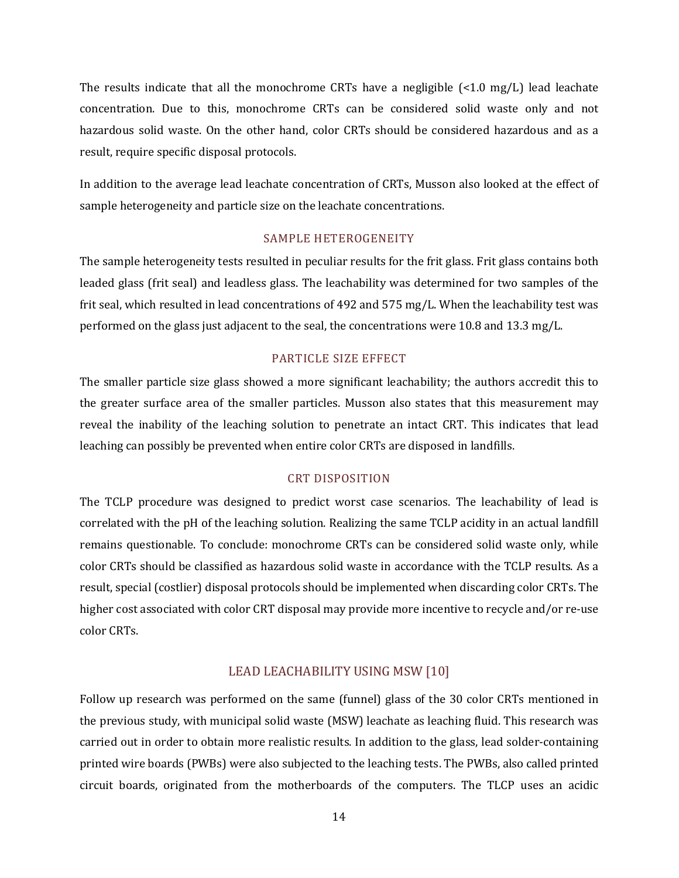The results indicate that all the monochrome CRTs have a negligible  $\left\{ \langle 1.0 \, \text{mg/L} \right\}$  lead leachate concentration. Due to this, monochrome CRTs can be considered solid waste only and not hazardous solid waste. On the other hand, color CRTs should be considered hazardous and as a result, require specific disposal protocols.

In addition to the average lead leachate concentration of CRTs, Musson also looked at the effect of sample heterogeneity and particle size on the leachate concentrations.

# SAMPLE HETEROGENEITY

The sample heterogeneity tests resulted in peculiar results for the frit glass. Frit glass contains both leaded glass (frit seal) and leadless glass. The leachability was determined for two samples of the frit seal, which resulted in lead concentrations of 492 and 575 mg/L. When the leachability test was performed on the glass just adjacent to the seal, the concentrations were 10.8 and 13.3 mg/L.

#### PARTICLE SIZE EFFECT

The smaller particle size glass showed a more significant leachability; the authors accredit this to the greater surface area of the smaller particles. Musson also states that this measurement may reveal the inability of the leaching solution to penetrate an intact CRT. This indicates that lead leaching can possibly be prevented when entire color CRTs are disposed in landfills.

### CRT DISPOSITION

The TCLP procedure was designed to predict worst case scenarios. The leachability of lead is correlated with the pH of the leaching solution. Realizing the same TCLP acidity in an actual landfill remains questionable. To conclude: monochrome CRTs can be considered solid waste only, while color CRTs should be classified as hazardous solid waste in accordance with the TCLP results. As a result, special (costlier) disposal protocols should be implemented when discarding color CRTs. The higher cost associated with color CRT disposal may provide more incentive to recycle and/or re-use color CRTs.

# LEAD LEACHABILITY USING MSW [10]

Follow up research was performed on the same (funnel) glass of the 30 color CRTs mentioned in the previous study, with municipal solid waste (MSW) leachate as leaching fluid. This research was carried out in order to obtain more realistic results. In addition to the glass, lead solder-containing printed wire boards (PWBs) were also subjected to the leaching tests. The PWBs, also called printed circuit boards, originated from the motherboards of the computers. The TLCP uses an acidic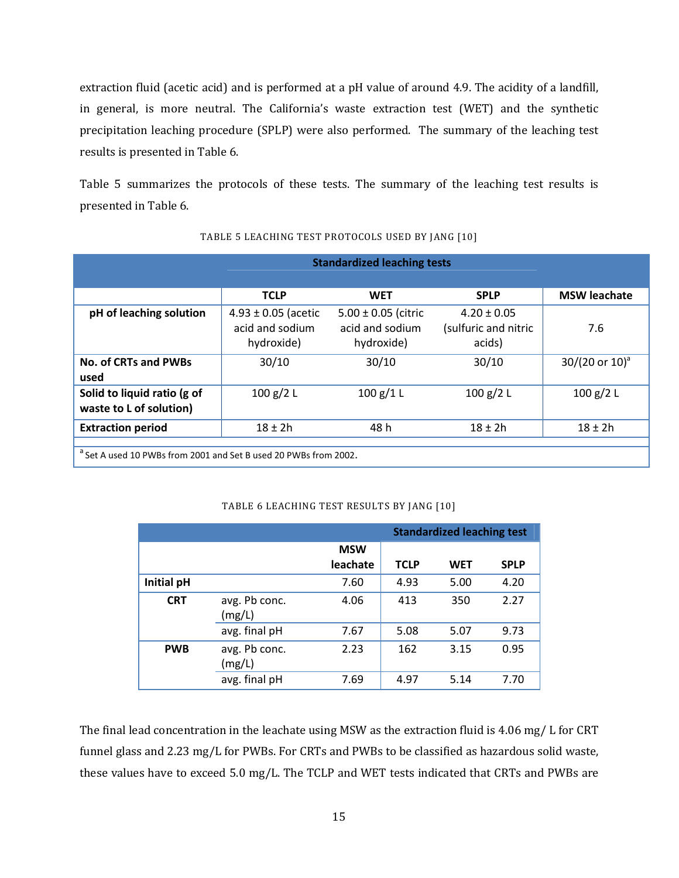extraction fluid (acetic acid) and is performed at a pH value of around 4.9. The acidity of a landfill, in general, is more neutral. The California's waste extraction test (WET) and the synthetic precipitation leaching procedure (SPLP) were also performed. The summary of the leaching test results is presented in Table 6.

Table 5 summarizes the protocols of these tests. The summary of the leaching test results is presented in Table 6.

|                                                                             | <b>Standardized leaching tests</b>                       |                                                          |                                                   |                              |  |  |  |
|-----------------------------------------------------------------------------|----------------------------------------------------------|----------------------------------------------------------|---------------------------------------------------|------------------------------|--|--|--|
|                                                                             | <b>TCLP</b>                                              | <b>WET</b>                                               | <b>SPLP</b>                                       | <b>MSW leachate</b>          |  |  |  |
| pH of leaching solution                                                     | $4.93 \pm 0.05$ (acetic<br>acid and sodium<br>hydroxide) | $5.00 \pm 0.05$ (citric<br>acid and sodium<br>hydroxide) | $4.20 \pm 0.05$<br>(sulfuric and nitric<br>acids) | 7.6                          |  |  |  |
| <b>No. of CRTs and PWBs</b><br>used                                         | 30/10                                                    | 30/10                                                    | 30/10                                             | $30/(20 \text{ or } 10)^{a}$ |  |  |  |
| Solid to liquid ratio (g of<br>waste to L of solution)                      | 100 g/2 L                                                | 100 g/1 L                                                | 100 g/2 L                                         | 100 g/2 L                    |  |  |  |
| <b>Extraction period</b>                                                    | $18 + 2h$                                                | 48 h                                                     | $18 + 2h$                                         | $18 \pm 2h$                  |  |  |  |
| <sup>a</sup> Set A used 10 PWBs from 2001 and Set B used 20 PWBs from 2002. |                                                          |                                                          |                                                   |                              |  |  |  |

#### TABLE 5 LEACHING TEST PROTOCOLS USED BY JANG [10]

#### TABLE 6 LEACHING TEST RESULTS BY JANG [10]

|            |                         |            | <b>Standardized leaching test</b> |            |             |  |
|------------|-------------------------|------------|-----------------------------------|------------|-------------|--|
|            |                         | <b>MSW</b> |                                   |            |             |  |
|            |                         | leachate   | <b>TCLP</b>                       | <b>WET</b> | <b>SPLP</b> |  |
| Initial pH |                         | 7.60       | 4.93                              | 5.00       | 4.20        |  |
| <b>CRT</b> | avg. Pb conc.<br>(mg/L) | 4.06       | 413                               | 350        | 2.27        |  |
|            | avg. final pH           | 7.67       | 5.08                              | 5.07       | 9.73        |  |
| <b>PWB</b> | avg. Pb conc.<br>(mg/L) | 2.23       | 162                               | 3.15       | 0.95        |  |
|            | avg. final pH           | 7.69       | 4.97                              | 5.14       | 7.70        |  |

The final lead concentration in the leachate using MSW as the extraction fluid is 4.06 mg/ L for CRT funnel glass and 2.23 mg/L for PWBs. For CRTs and PWBs to be classified as hazardous solid waste, these values have to exceed 5.0 mg/L. The TCLP and WET tests indicated that CRTs and PWBs are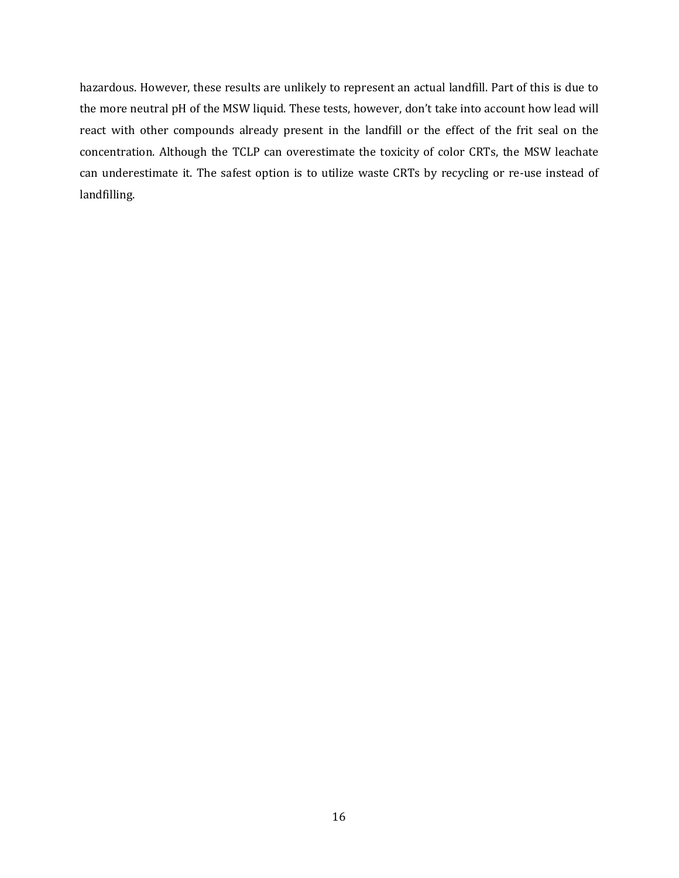hazardous. However, these results are unlikely to represent an actual landfill. Part of this is due to the more neutral pH of the MSW liquid. These tests, however, don't take into account how lead will react with other compounds already present in the landfill or the effect of the frit seal on the concentration. Although the TCLP can overestimate the toxicity of color CRTs, the MSW leachate can underestimate it. The safest option is to utilize waste CRTs by recycling or re-use instead of landfilling.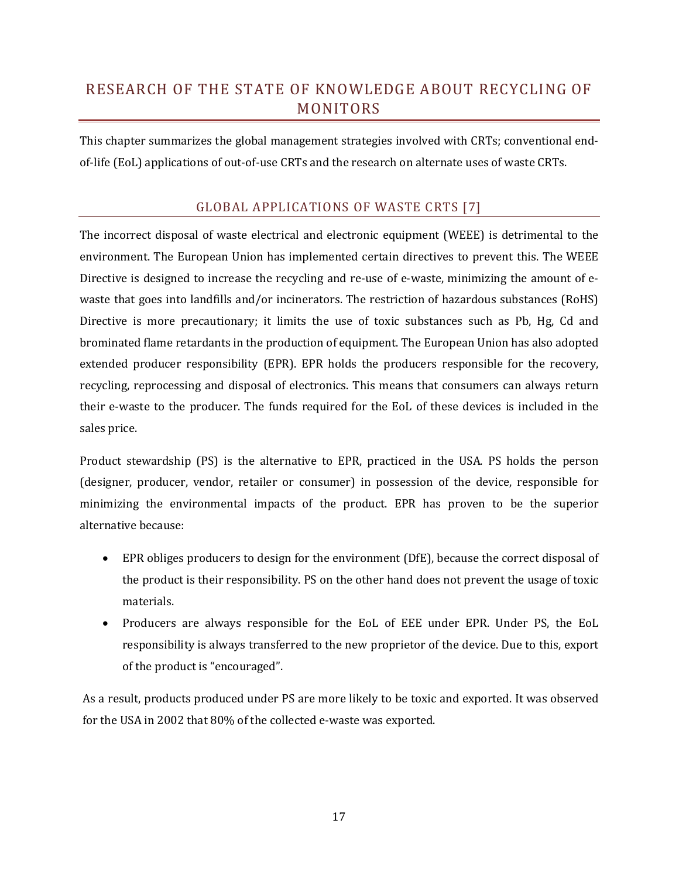# RESEARCH OF THE STATE OF KNOWLEDGE ABOUT RECYCLING OF MONITORS

This chapter summarizes the global management strategies involved with CRTs; conventional endof-life (EoL) applications of out-of-use CRTs and the research on alternate uses of waste CRTs.

# GLOBAL APPLICATIONS OF WASTE CRTS [7]

The incorrect disposal of waste electrical and electronic equipment (WEEE) is detrimental to the environment. The European Union has implemented certain directives to prevent this. The WEEE Directive is designed to increase the recycling and re-use of e-waste, minimizing the amount of ewaste that goes into landfills and/or incinerators. The restriction of hazardous substances (RoHS) Directive is more precautionary; it limits the use of toxic substances such as Pb, Hg, Cd and brominated flame retardants in the production of equipment. The European Union has also adopted extended producer responsibility (EPR). EPR holds the producers responsible for the recovery, recycling, reprocessing and disposal of electronics. This means that consumers can always return their e-waste to the producer. The funds required for the EoL of these devices is included in the sales price.

Product stewardship (PS) is the alternative to EPR, practiced in the USA. PS holds the person (designer, producer, vendor, retailer or consumer) in possession of the device, responsible for minimizing the environmental impacts of the product. EPR has proven to be the superior alternative because:

- EPR obliges producers to design for the environment (DfE), because the correct disposal of the product is their responsibility. PS on the other hand does not prevent the usage of toxic materials.
- Producers are always responsible for the EoL of EEE under EPR. Under PS, the EoL responsibility is always transferred to the new proprietor of the device. Due to this, export of the product is "encouraged".

As a result, products produced under PS are more likely to be toxic and exported. It was observed for the USA in 2002 that 80% of the collected e-waste was exported.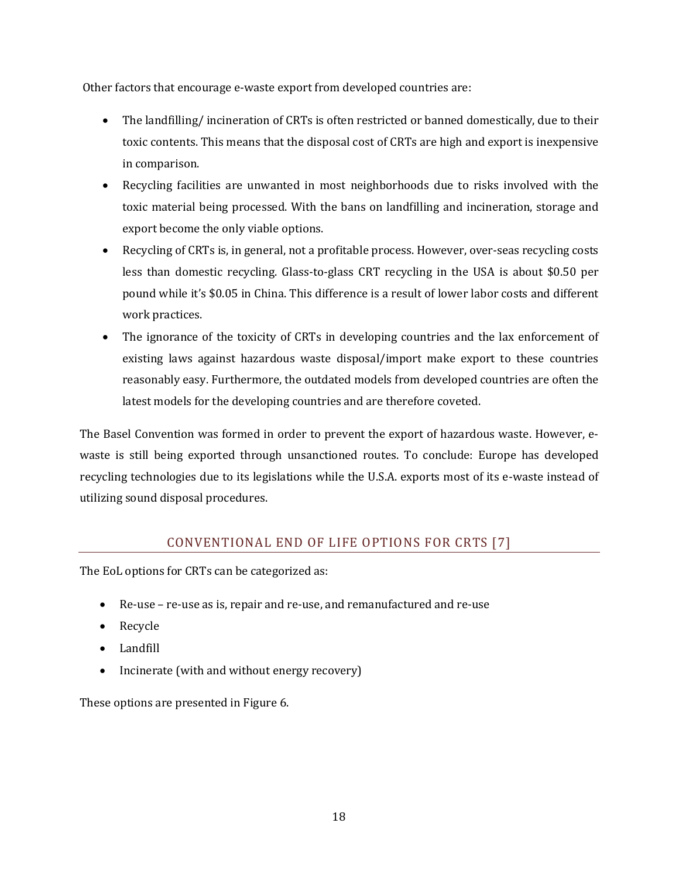Other factors that encourage e-waste export from developed countries are:

- The landfilling/incineration of CRTs is often restricted or banned domestically, due to their toxic contents. This means that the disposal cost of CRTs are high and export is inexpensive in comparison.
- Recycling facilities are unwanted in most neighborhoods due to risks involved with the toxic material being processed. With the bans on landfilling and incineration, storage and export become the only viable options.
- Recycling of CRTs is, in general, not a profitable process. However, over-seas recycling costs less than domestic recycling. Glass-to-glass CRT recycling in the USA is about \$0.50 per pound while it's \$0.05 in China. This difference is a result of lower labor costs and different work practices.
- The ignorance of the toxicity of CRTs in developing countries and the lax enforcement of existing laws against hazardous waste disposal/import make export to these countries reasonably easy. Furthermore, the outdated models from developed countries are often the latest models for the developing countries and are therefore coveted.

The Basel Convention was formed in order to prevent the export of hazardous waste. However, ewaste is still being exported through unsanctioned routes. To conclude: Europe has developed recycling technologies due to its legislations while the U.S.A. exports most of its e-waste instead of utilizing sound disposal procedures.

# CONVENTIONAL END OF LIFE OPTIONS FOR CRTS [7]

The EoL options for CRTs can be categorized as:

- Re-use re-use as is, repair and re-use, and remanufactured and re-use
- Recycle
- Landfill
- Incinerate (with and without energy recovery)

These options are presented in Figure 6.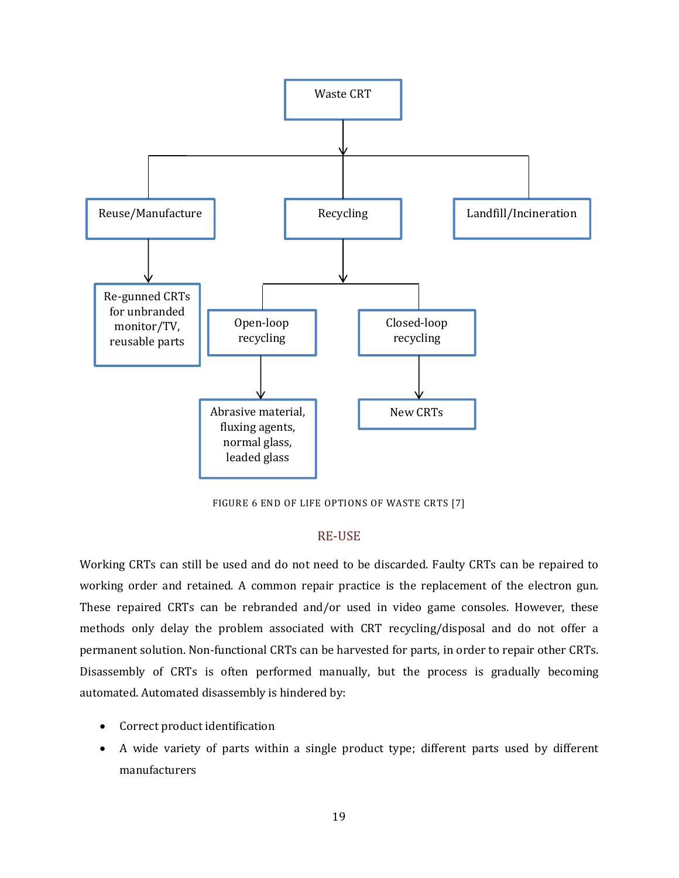

FIGURE 6 END OF LIFE OPTIONS OF WASTE CRTS [7]

# RE-USE

Working CRTs can still be used and do not need to be discarded. Faulty CRTs can be repaired to working order and retained. A common repair practice is the replacement of the electron gun. These repaired CRTs can be rebranded and/or used in video game consoles. However, these methods only delay the problem associated with CRT recycling/disposal and do not offer a permanent solution. Non-functional CRTs can be harvested for parts, in order to repair other CRTs. Disassembly of CRTs is often performed manually, but the process is gradually becoming automated. Automated disassembly is hindered by:

- Correct product identification
- A wide variety of parts within a single product type; different parts used by different manufacturers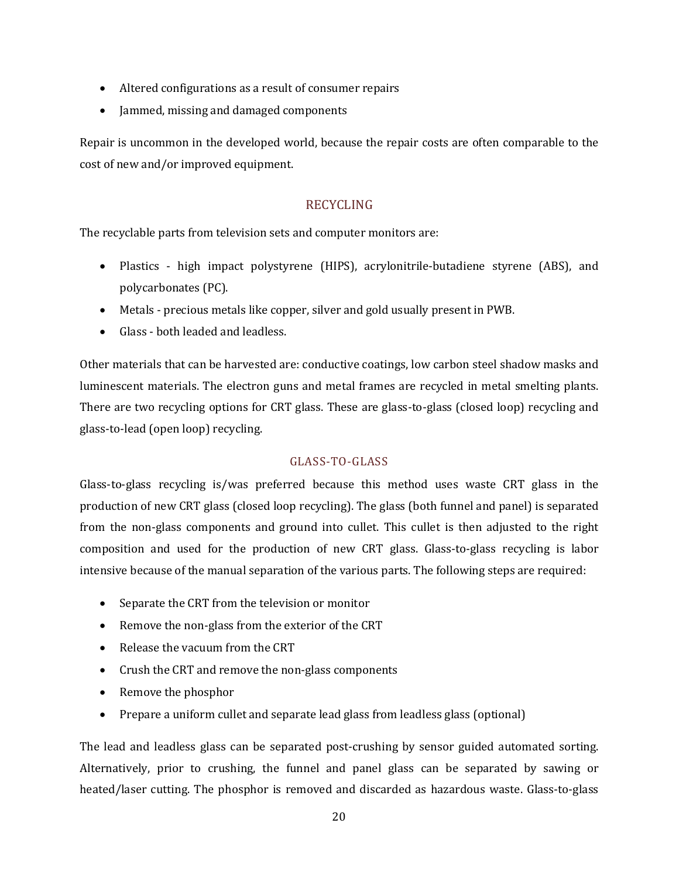- Altered configurations as a result of consumer repairs
- Jammed, missing and damaged components

Repair is uncommon in the developed world, because the repair costs are often comparable to the cost of new and/or improved equipment.

# RECYCLING

The recyclable parts from television sets and computer monitors are:

- Plastics high impact polystyrene (HIPS), acrylonitrile-butadiene styrene (ABS), and polycarbonates (PC).
- Metals precious metals like copper, silver and gold usually present in PWB.
- Glass both leaded and leadless.

Other materials that can be harvested are: conductive coatings, low carbon steel shadow masks and luminescent materials. The electron guns and metal frames are recycled in metal smelting plants. There are two recycling options for CRT glass. These are glass-to-glass (closed loop) recycling and glass-to-lead (open loop) recycling.

# GLASS-TO-GLASS

Glass-to-glass recycling is/was preferred because this method uses waste CRT glass in the production of new CRT glass (closed loop recycling). The glass (both funnel and panel) is separated from the non-glass components and ground into cullet. This cullet is then adjusted to the right composition and used for the production of new CRT glass. Glass-to-glass recycling is labor intensive because of the manual separation of the various parts. The following steps are required:

- Separate the CRT from the television or monitor
- Remove the non-glass from the exterior of the CRT
- Release the vacuum from the CRT
- Crush the CRT and remove the non-glass components
- Remove the phosphor
- Prepare a uniform cullet and separate lead glass from leadless glass (optional)

The lead and leadless glass can be separated post-crushing by sensor guided automated sorting. Alternatively, prior to crushing, the funnel and panel glass can be separated by sawing or heated/laser cutting. The phosphor is removed and discarded as hazardous waste. Glass-to-glass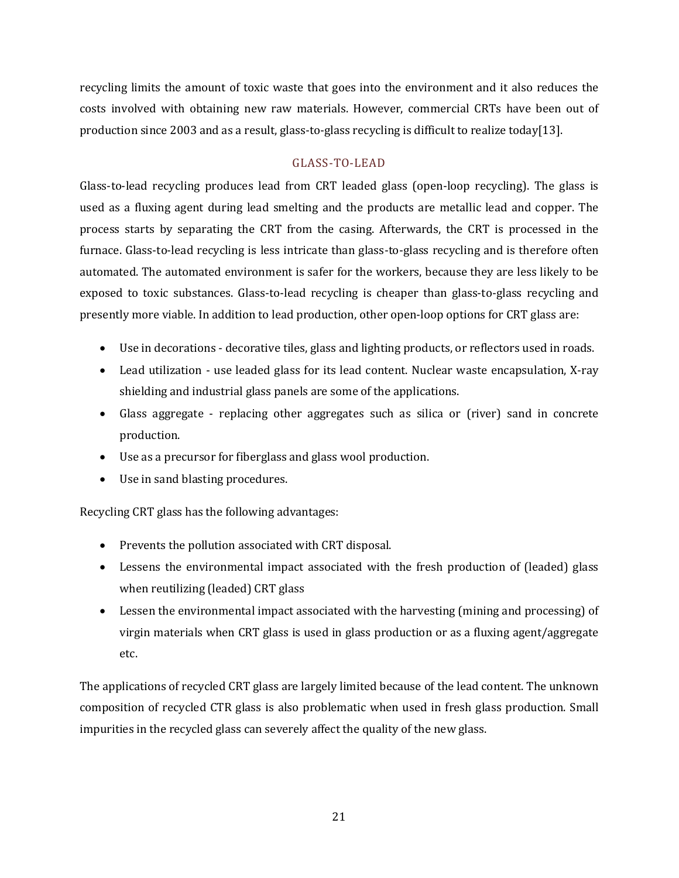recycling limits the amount of toxic waste that goes into the environment and it also reduces the costs involved with obtaining new raw materials. However, commercial CRTs have been out of production since 2003 and as a result, glass-to-glass recycling is difficult to realize today[13].

# GLASS-TO-LEAD

Glass-to-lead recycling produces lead from CRT leaded glass (open-loop recycling). The glass is used as a fluxing agent during lead smelting and the products are metallic lead and copper. The process starts by separating the CRT from the casing. Afterwards, the CRT is processed in the furnace. Glass-to-lead recycling is less intricate than glass-to-glass recycling and is therefore often automated. The automated environment is safer for the workers, because they are less likely to be exposed to toxic substances. Glass-to-lead recycling is cheaper than glass-to-glass recycling and presently more viable. In addition to lead production, other open-loop options for CRT glass are:

- Use in decorations decorative tiles, glass and lighting products, or reflectors used in roads.
- Lead utilization use leaded glass for its lead content. Nuclear waste encapsulation, X-ray shielding and industrial glass panels are some of the applications.
- Glass aggregate replacing other aggregates such as silica or (river) sand in concrete production.
- Use as a precursor for fiberglass and glass wool production.
- Use in sand blasting procedures.

Recycling CRT glass has the following advantages:

- Prevents the pollution associated with CRT disposal.
- Lessens the environmental impact associated with the fresh production of (leaded) glass when reutilizing (leaded) CRT glass
- Lessen the environmental impact associated with the harvesting (mining and processing) of virgin materials when CRT glass is used in glass production or as a fluxing agent/aggregate etc.

The applications of recycled CRT glass are largely limited because of the lead content. The unknown composition of recycled CTR glass is also problematic when used in fresh glass production. Small impurities in the recycled glass can severely affect the quality of the new glass.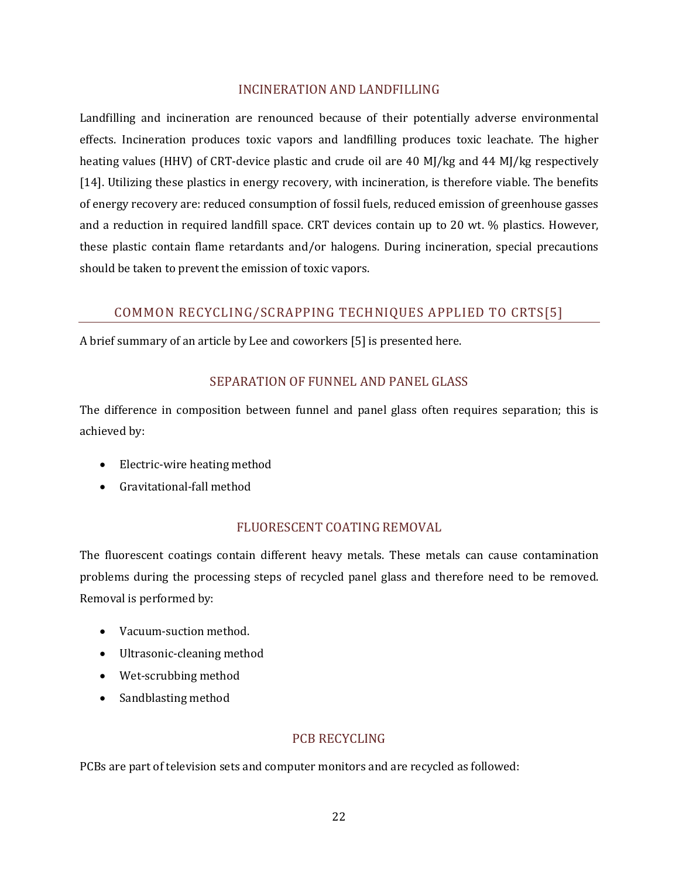# INCINERATION AND LANDFILLING

Landfilling and incineration are renounced because of their potentially adverse environmental effects. Incineration produces toxic vapors and landfilling produces toxic leachate. The higher heating values (HHV) of CRT-device plastic and crude oil are 40 MJ/kg and 44 MJ/kg respectively [14]. Utilizing these plastics in energy recovery, with incineration, is therefore viable. The benefits of energy recovery are: reduced consumption of fossil fuels, reduced emission of greenhouse gasses and a reduction in required landfill space. CRT devices contain up to 20 wt. % plastics. However, these plastic contain flame retardants and/or halogens. During incineration, special precautions should be taken to prevent the emission of toxic vapors.

# COMMON RECYCLING/SCRAPPING TECHNIQUES APPLIED TO CRTS[5]

A brief summary of an article by Lee and coworkers [5] is presented here.

# SEPARATION OF FUNNEL AND PANEL GLASS

The difference in composition between funnel and panel glass often requires separation; this is achieved by:

- Electric-wire heating method
- Gravitational-fall method

# FLUORESCENT COATING REMOVAL

The fluorescent coatings contain different heavy metals. These metals can cause contamination problems during the processing steps of recycled panel glass and therefore need to be removed. Removal is performed by:

- Vacuum-suction method.
- Ultrasonic-cleaning method
- Wet-scrubbing method
- Sandblasting method

# PCB RECYCLING

PCBs are part of television sets and computer monitors and are recycled as followed: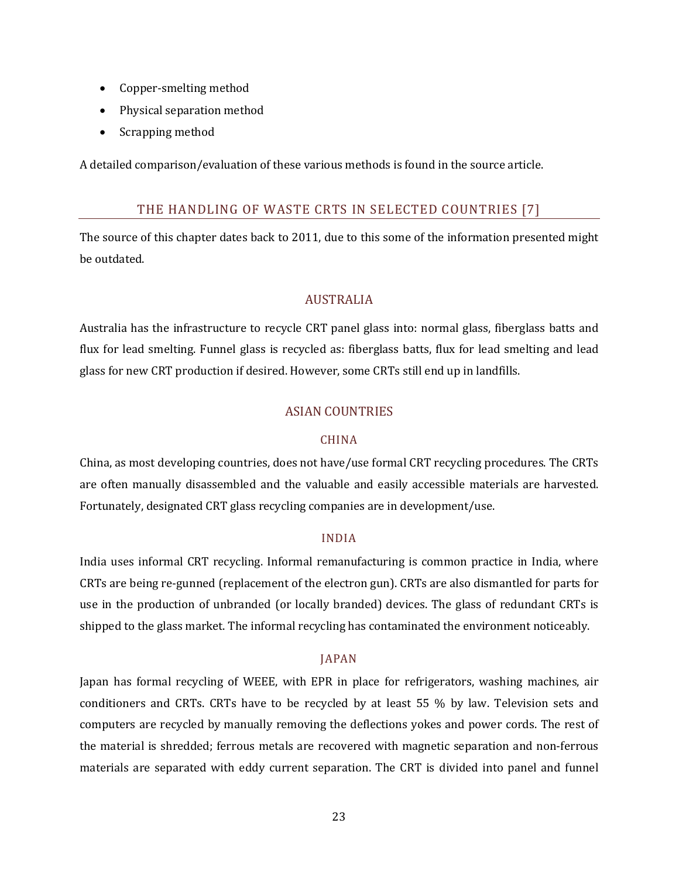- Copper-smelting method
- Physical separation method
- Scrapping method

A detailed comparison/evaluation of these various methods is found in the source article.

# THE HANDLING OF WASTE CRTS IN SELECTED COUNTRIES [7]

The source of this chapter dates back to 2011, due to this some of the information presented might be outdated.

# AUSTRALIA

Australia has the infrastructure to recycle CRT panel glass into: normal glass, fiberglass batts and flux for lead smelting. Funnel glass is recycled as: fiberglass batts, flux for lead smelting and lead glass for new CRT production if desired. However, some CRTs still end up in landfills.

# ASIAN COUNTRIES

# CHINA

China, as most developing countries, does not have/use formal CRT recycling procedures. The CRTs are often manually disassembled and the valuable and easily accessible materials are harvested. Fortunately, designated CRT glass recycling companies are in development/use.

# INDIA

India uses informal CRT recycling. Informal remanufacturing is common practice in India, where CRTs are being re-gunned (replacement of the electron gun). CRTs are also dismantled for parts for use in the production of unbranded (or locally branded) devices. The glass of redundant CRTs is shipped to the glass market. The informal recycling has contaminated the environment noticeably.

# JAPAN

Japan has formal recycling of WEEE, with EPR in place for refrigerators, washing machines, air conditioners and CRTs. CRTs have to be recycled by at least 55 % by law. Television sets and computers are recycled by manually removing the deflections yokes and power cords. The rest of the material is shredded; ferrous metals are recovered with magnetic separation and non-ferrous materials are separated with eddy current separation. The CRT is divided into panel and funnel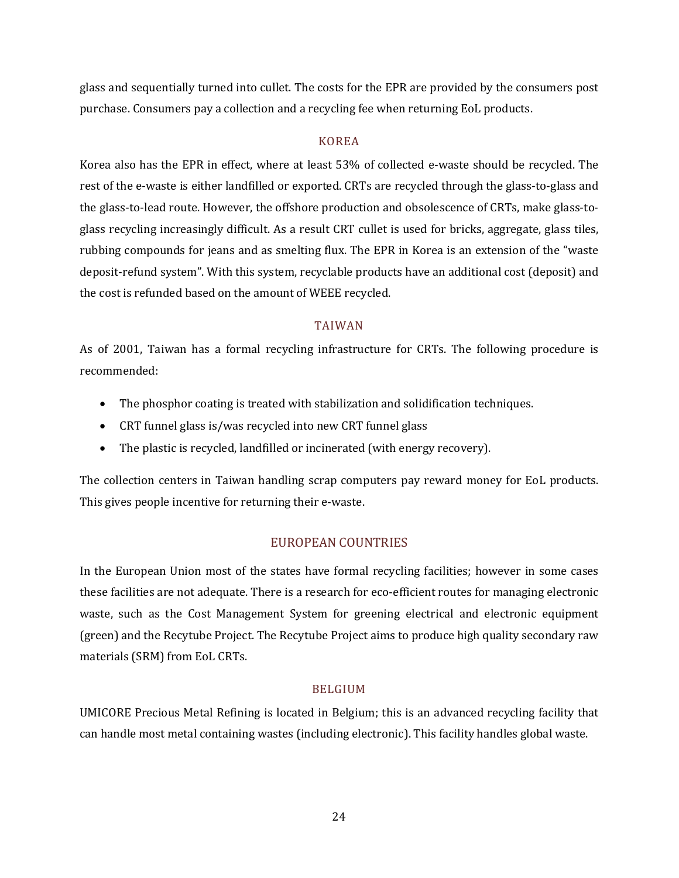glass and sequentially turned into cullet. The costs for the EPR are provided by the consumers post purchase. Consumers pay a collection and a recycling fee when returning EoL products.

# KOREA

Korea also has the EPR in effect, where at least 53% of collected e-waste should be recycled. The rest of the e-waste is either landfilled or exported. CRTs are recycled through the glass-to-glass and the glass-to-lead route. However, the offshore production and obsolescence of CRTs, make glass-toglass recycling increasingly difficult. As a result CRT cullet is used for bricks, aggregate, glass tiles, rubbing compounds for jeans and as smelting flux. The EPR in Korea is an extension of the "waste deposit-refund system". With this system, recyclable products have an additional cost (deposit) and the cost is refunded based on the amount of WEEE recycled.

# TAIWAN

As of 2001, Taiwan has a formal recycling infrastructure for CRTs. The following procedure is recommended:

- The phosphor coating is treated with stabilization and solidification techniques.
- CRT funnel glass is/was recycled into new CRT funnel glass
- The plastic is recycled, landfilled or incinerated (with energy recovery).

The collection centers in Taiwan handling scrap computers pay reward money for EoL products. This gives people incentive for returning their e-waste.

# EUROPEAN COUNTRIES

In the European Union most of the states have formal recycling facilities; however in some cases these facilities are not adequate. There is a research for eco-efficient routes for managing electronic waste, such as the Cost Management System for greening electrical and electronic equipment (green) and the Recytube Project. The Recytube Project aims to produce high quality secondary raw materials (SRM) from EoL CRTs.

# BELGIUM

UMICORE Precious Metal Refining is located in Belgium; this is an advanced recycling facility that can handle most metal containing wastes (including electronic). This facility handles global waste.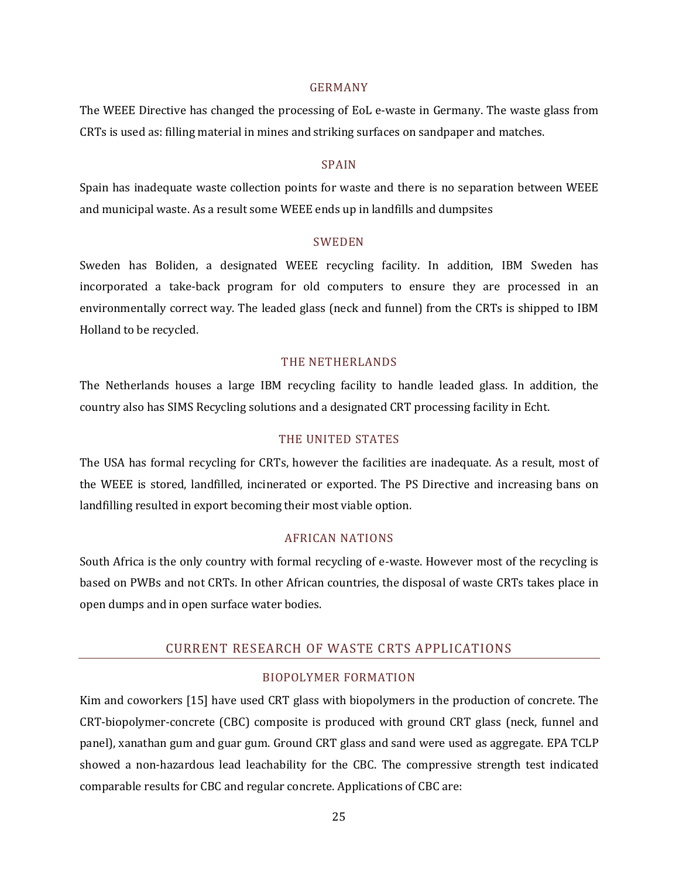#### GERMANY

The WEEE Directive has changed the processing of EoL e-waste in Germany. The waste glass from CRTs is used as: filling material in mines and striking surfaces on sandpaper and matches.

#### SPAIN

Spain has inadequate waste collection points for waste and there is no separation between WEEE and municipal waste. As a result some WEEE ends up in landfills and dumpsites

#### SWEDEN

Sweden has Boliden, a designated WEEE recycling facility. In addition, IBM Sweden has incorporated a take-back program for old computers to ensure they are processed in an environmentally correct way. The leaded glass (neck and funnel) from the CRTs is shipped to IBM Holland to be recycled.

#### THE NETHERLANDS

The Netherlands houses a large IBM recycling facility to handle leaded glass. In addition, the country also has SIMS Recycling solutions and a designated CRT processing facility in Echt.

#### THE UNITED STATES

The USA has formal recycling for CRTs, however the facilities are inadequate. As a result, most of the WEEE is stored, landfilled, incinerated or exported. The PS Directive and increasing bans on landfilling resulted in export becoming their most viable option.

# AFRICAN NATIONS

South Africa is the only country with formal recycling of e-waste. However most of the recycling is based on PWBs and not CRTs. In other African countries, the disposal of waste CRTs takes place in open dumps and in open surface water bodies.

# CURRENT RESEARCH OF WASTE CRTS APPLICATIONS

# BIOPOLYMER FORMATION

Kim and coworkers [15] have used CRT glass with biopolymers in the production of concrete. The CRT-biopolymer-concrete (CBC) composite is produced with ground CRT glass (neck, funnel and panel), xanathan gum and guar gum. Ground CRT glass and sand were used as aggregate. EPA TCLP showed a non-hazardous lead leachability for the CBC. The compressive strength test indicated comparable results for CBC and regular concrete. Applications of CBC are: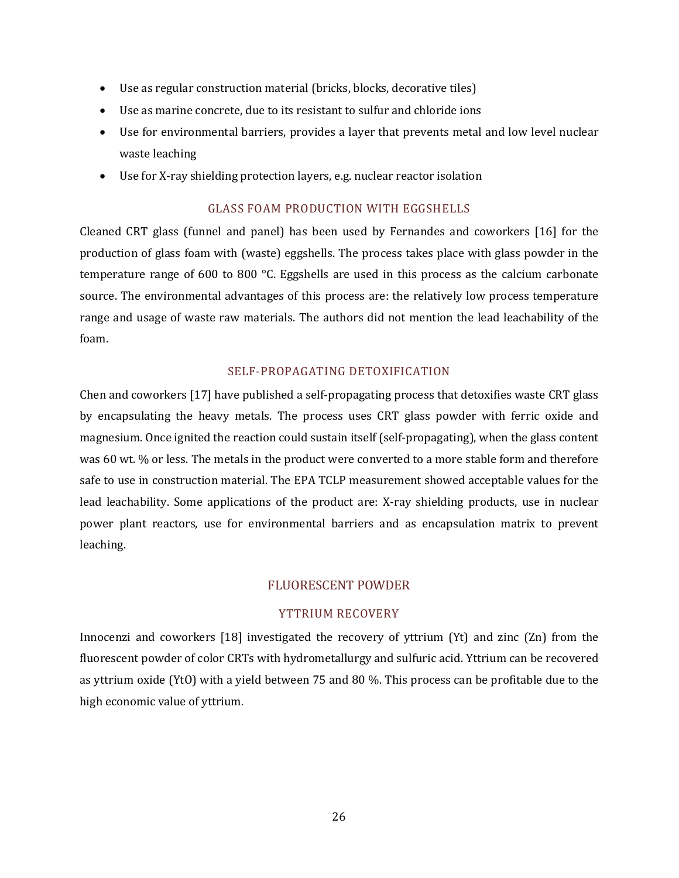- Use as regular construction material (bricks, blocks, decorative tiles)
- Use as marine concrete, due to its resistant to sulfur and chloride ions
- Use for environmental barriers, provides a layer that prevents metal and low level nuclear waste leaching
- Use for X-ray shielding protection layers, e.g. nuclear reactor isolation

# GLASS FOAM PRODUCTION WITH EGGSHELLS

Cleaned CRT glass (funnel and panel) has been used by Fernandes and coworkers [16] for the production of glass foam with (waste) eggshells. The process takes place with glass powder in the temperature range of 600 to 800 °C. Eggshells are used in this process as the calcium carbonate source. The environmental advantages of this process are: the relatively low process temperature range and usage of waste raw materials. The authors did not mention the lead leachability of the foam.

# SELF-PROPAGATING DETOXIFICATION

Chen and coworkers [17] have published a self-propagating process that detoxifies waste CRT glass by encapsulating the heavy metals. The process uses CRT glass powder with ferric oxide and magnesium. Once ignited the reaction could sustain itself (self-propagating), when the glass content was 60 wt. % or less. The metals in the product were converted to a more stable form and therefore safe to use in construction material. The EPA TCLP measurement showed acceptable values for the lead leachability. Some applications of the product are: X-ray shielding products, use in nuclear power plant reactors, use for environmental barriers and as encapsulation matrix to prevent leaching.

# FLUORESCENT POWDER

# YTTRIUM RECOVERY

Innocenzi and coworkers [18] investigated the recovery of yttrium (Yt) and zinc (Zn) from the fluorescent powder of color CRTs with hydrometallurgy and sulfuric acid. Yttrium can be recovered as yttrium oxide (YtO) with a yield between 75 and 80 %. This process can be profitable due to the high economic value of yttrium.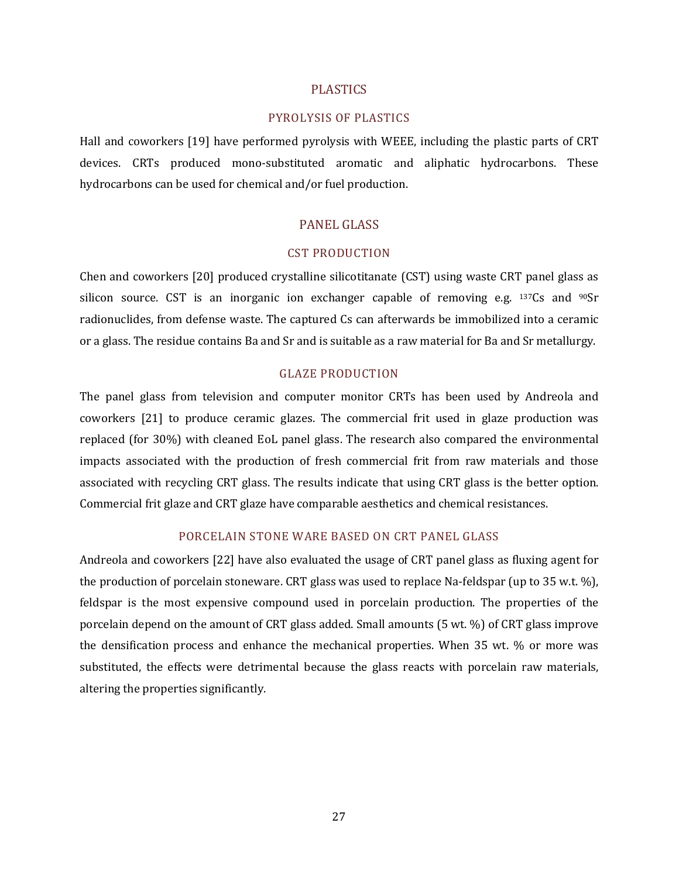#### PLASTICS

#### PYROLYSIS OF PLASTICS

Hall and coworkers [19] have performed pyrolysis with WEEE, including the plastic parts of CRT devices. CRTs produced mono-substituted aromatic and aliphatic hydrocarbons. These hydrocarbons can be used for chemical and/or fuel production.

#### PANEL GLASS

#### CST PRODUCTION

Chen and coworkers [20] produced crystalline silicotitanate (CST) using waste CRT panel glass as silicon source. CST is an inorganic ion exchanger capable of removing e.g.  $137Cs$  and  $90Sr$ radionuclides, from defense waste. The captured Cs can afterwards be immobilized into a ceramic or a glass. The residue contains Ba and Sr and is suitable as a raw material for Ba and Sr metallurgy.

#### GLAZE PRODUCTION

The panel glass from television and computer monitor CRTs has been used by Andreola and coworkers [21] to produce ceramic glazes. The commercial frit used in glaze production was replaced (for 30%) with cleaned EoL panel glass. The research also compared the environmental impacts associated with the production of fresh commercial frit from raw materials and those associated with recycling CRT glass. The results indicate that using CRT glass is the better option. Commercial frit glaze and CRT glaze have comparable aesthetics and chemical resistances.

## PORCELAIN STONE WARE BASED ON CRT PANEL GLASS

Andreola and coworkers [22] have also evaluated the usage of CRT panel glass as fluxing agent for the production of porcelain stoneware. CRT glass was used to replace Na-feldspar (up to 35 w.t. %), feldspar is the most expensive compound used in porcelain production. The properties of the porcelain depend on the amount of CRT glass added. Small amounts (5 wt. %) of CRT glass improve the densification process and enhance the mechanical properties. When 35 wt. % or more was substituted, the effects were detrimental because the glass reacts with porcelain raw materials, altering the properties significantly.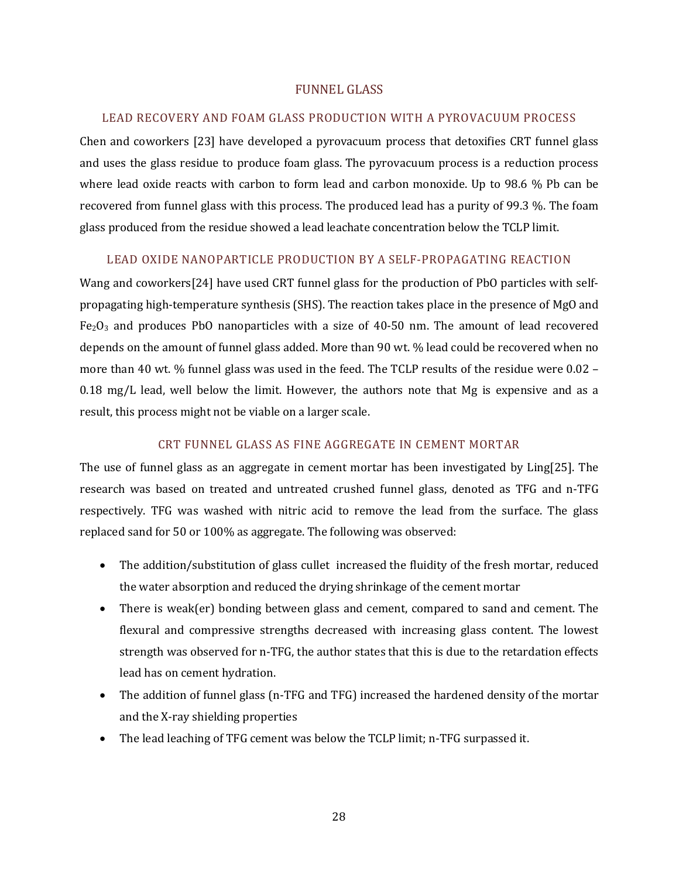# FUNNEL GLASS

#### LEAD RECOVERY AND FOAM GLASS PRODUCTION WITH A PYROVACUUM PROCESS

Chen and coworkers [23] have developed a pyrovacuum process that detoxifies CRT funnel glass and uses the glass residue to produce foam glass. The pyrovacuum process is a reduction process where lead oxide reacts with carbon to form lead and carbon monoxide. Up to 98.6 % Pb can be recovered from funnel glass with this process. The produced lead has a purity of 99.3 %. The foam glass produced from the residue showed a lead leachate concentration below the TCLP limit.

# LEAD OXIDE NANOPARTICLE PRODUCTION BY A SELF-PROPAGATING REACTION

Wang and coworkers[24] have used CRT funnel glass for the production of PbO particles with selfpropagating high-temperature synthesis (SHS). The reaction takes place in the presence of MgO and  $Fe<sub>2</sub>O<sub>3</sub>$  and produces PbO nanoparticles with a size of 40-50 nm. The amount of lead recovered depends on the amount of funnel glass added. More than 90 wt. % lead could be recovered when no more than 40 wt. % funnel glass was used in the feed. The TCLP results of the residue were 0.02 –  $0.18 \text{ mg/L}$  lead, well below the limit. However, the authors note that Mg is expensive and as a result, this process might not be viable on a larger scale.

#### CRT FUNNEL GLASS AS FINE AGGREGATE IN CEMENT MORTAR

The use of funnel glass as an aggregate in cement mortar has been investigated by Ling[25]. The research was based on treated and untreated crushed funnel glass, denoted as TFG and n-TFG respectively. TFG was washed with nitric acid to remove the lead from the surface. The glass replaced sand for 50 or 100% as aggregate. The following was observed:

- The addition/substitution of glass cullet increased the fluidity of the fresh mortar, reduced the water absorption and reduced the drying shrinkage of the cement mortar
- There is weak(er) bonding between glass and cement, compared to sand and cement. The flexural and compressive strengths decreased with increasing glass content. The lowest strength was observed for n-TFG, the author states that this is due to the retardation effects lead has on cement hydration.
- The addition of funnel glass (n-TFG and TFG) increased the hardened density of the mortar and the X-ray shielding properties
- The lead leaching of TFG cement was below the TCLP limit; n-TFG surpassed it.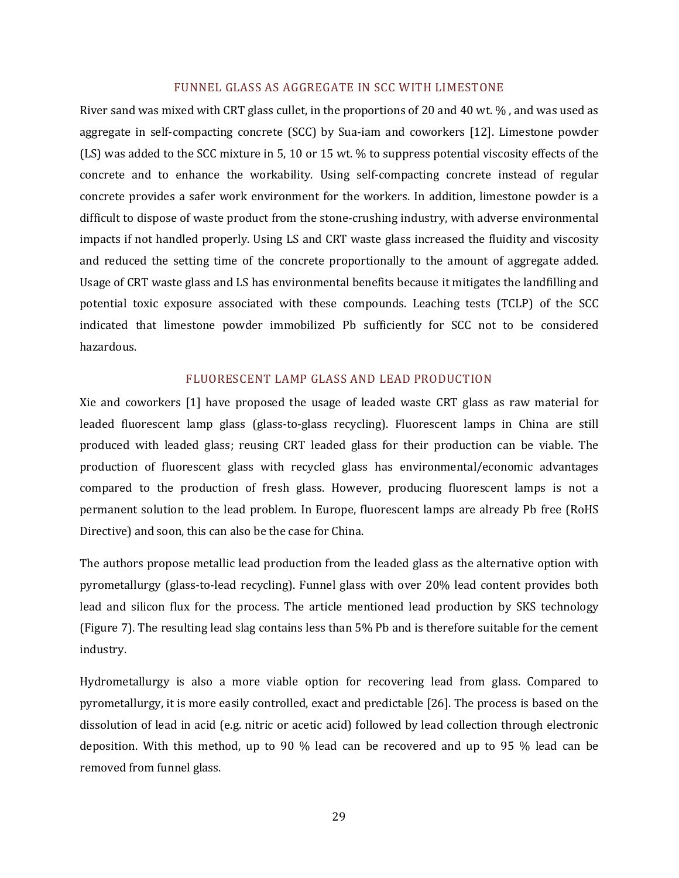#### FUNNEL GLASS AS AGGREGATE IN SCC WITH LIMESTONE

River sand was mixed with CRT glass cullet, in the proportions of 20 and 40 wt. % , and was used as aggregate in self-compacting concrete (SCC) by Sua-iam and coworkers [12]. Limestone powder (LS) was added to the SCC mixture in 5, 10 or 15 wt. % to suppress potential viscosity effects of the concrete and to enhance the workability. Using self-compacting concrete instead of regular concrete provides a safer work environment for the workers. In addition, limestone powder is a difficult to dispose of waste product from the stone-crushing industry, with adverse environmental impacts if not handled properly. Using LS and CRT waste glass increased the fluidity and viscosity and reduced the setting time of the concrete proportionally to the amount of aggregate added. Usage of CRT waste glass and LS has environmental benefits because it mitigates the landfilling and potential toxic exposure associated with these compounds. Leaching tests (TCLP) of the SCC indicated that limestone powder immobilized Pb sufficiently for SCC not to be considered hazardous.

#### FLUORESCENT LAMP GLASS AND LEAD PRODUCTION

Xie and coworkers [1] have proposed the usage of leaded waste CRT glass as raw material for leaded fluorescent lamp glass (glass-to-glass recycling). Fluorescent lamps in China are still produced with leaded glass; reusing CRT leaded glass for their production can be viable. The production of fluorescent glass with recycled glass has environmental/economic advantages compared to the production of fresh glass. However, producing fluorescent lamps is not a permanent solution to the lead problem. In Europe, fluorescent lamps are already Pb free (RoHS Directive) and soon, this can also be the case for China.

The authors propose metallic lead production from the leaded glass as the alternative option with pyrometallurgy (glass-to-lead recycling). Funnel glass with over 20% lead content provides both lead and silicon flux for the process. The article mentioned lead production by SKS technology (Figure 7). The resulting lead slag contains less than 5% Pb and is therefore suitable for the cement industry.

Hydrometallurgy is also a more viable option for recovering lead from glass. Compared to pyrometallurgy, it is more easily controlled, exact and predictable [26]. The process is based on the dissolution of lead in acid (e.g. nitric or acetic acid) followed by lead collection through electronic deposition. With this method, up to 90 % lead can be recovered and up to 95 % lead can be removed from funnel glass.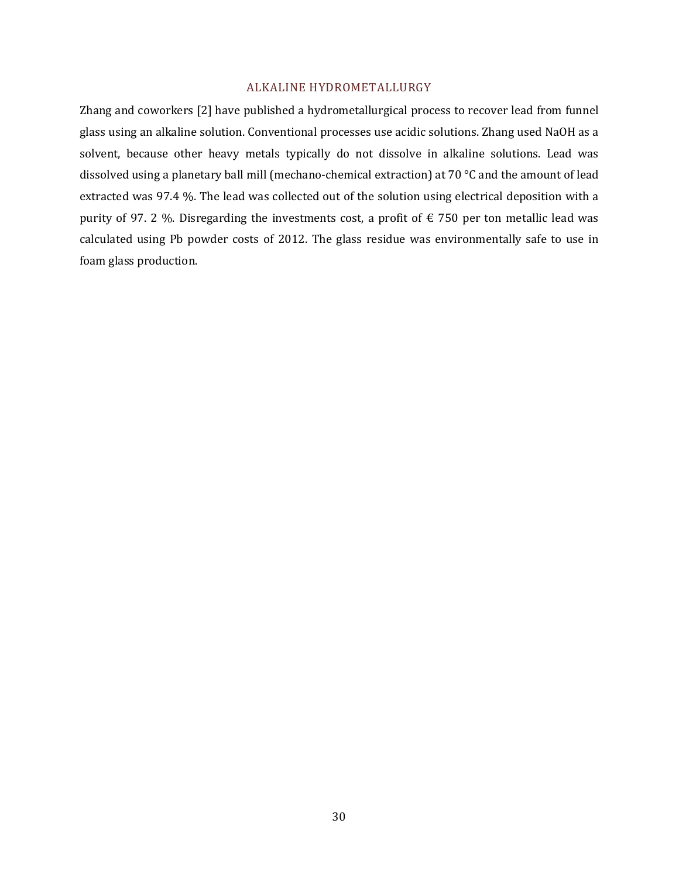#### ALKALINE HYDROMETALLURGY

Zhang and coworkers [2] have published a hydrometallurgical process to recover lead from funnel glass using an alkaline solution. Conventional processes use acidic solutions. Zhang used NaOH as a solvent, because other heavy metals typically do not dissolve in alkaline solutions. Lead was dissolved using a planetary ball mill (mechano-chemical extraction) at 70 °C and the amount of lead extracted was 97.4 %. The lead was collected out of the solution using electrical deposition with a purity of 97. 2 %. Disregarding the investments cost, a profit of  $\epsilon$  750 per ton metallic lead was calculated using Pb powder costs of 2012. The glass residue was environmentally safe to use in foam glass production.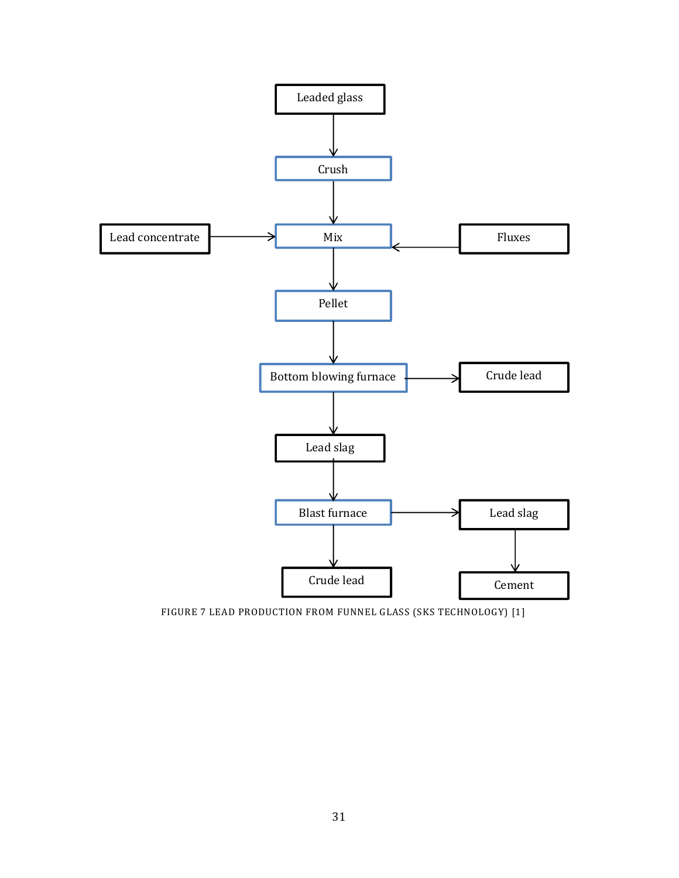

FIGURE 7 LEAD PRODUCTION FROM FUNNEL GLASS (SKS TECHNOLOGY) [1]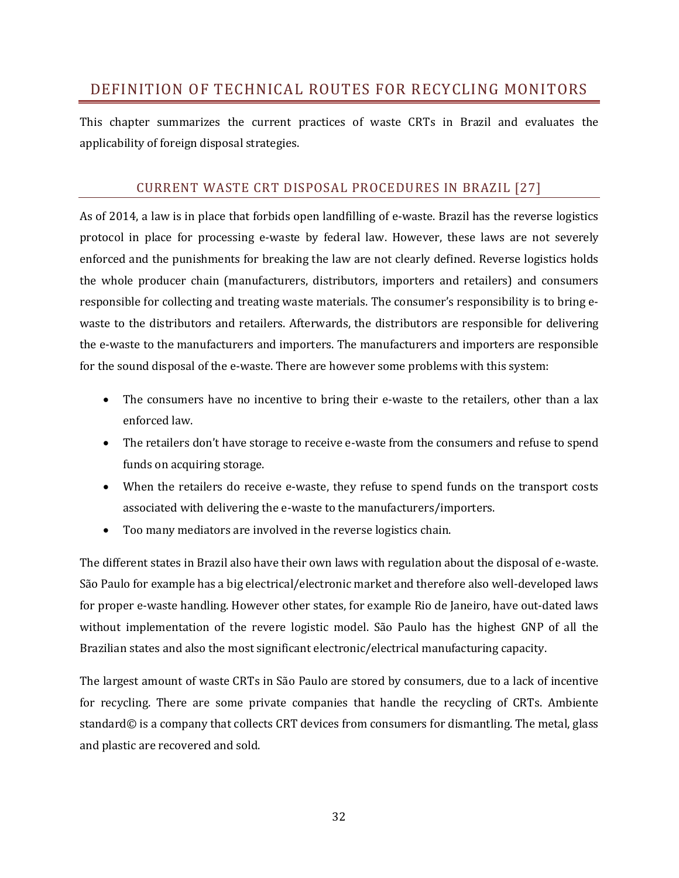# DEFINITION OF TECHNICAL ROUTES FOR RECYCLING MONITORS

This chapter summarizes the current practices of waste CRTs in Brazil and evaluates the applicability of foreign disposal strategies.

# CURRENT WASTE CRT DISPOSAL PROCEDURES IN BRAZIL [27]

As of 2014, a law is in place that forbids open landfilling of e-waste. Brazil has the reverse logistics protocol in place for processing e-waste by federal law. However, these laws are not severely enforced and the punishments for breaking the law are not clearly defined. Reverse logistics holds the whole producer chain (manufacturers, distributors, importers and retailers) and consumers responsible for collecting and treating waste materials. The consumer's responsibility is to bring ewaste to the distributors and retailers. Afterwards, the distributors are responsible for delivering the e-waste to the manufacturers and importers. The manufacturers and importers are responsible for the sound disposal of the e-waste. There are however some problems with this system:

- The consumers have no incentive to bring their e-waste to the retailers, other than a lax enforced law.
- The retailers don't have storage to receive e-waste from the consumers and refuse to spend funds on acquiring storage.
- When the retailers do receive e-waste, they refuse to spend funds on the transport costs associated with delivering the e-waste to the manufacturers/importers.
- Too many mediators are involved in the reverse logistics chain.

The different states in Brazil also have their own laws with regulation about the disposal of e-waste. São Paulo for example has a big electrical/electronic market and therefore also well-developed laws for proper e-waste handling. However other states, for example Rio de Janeiro, have out-dated laws without implementation of the revere logistic model. São Paulo has the highest GNP of all the Brazilian states and also the most significant electronic/electrical manufacturing capacity.

The largest amount of waste CRTs in São Paulo are stored by consumers, due to a lack of incentive for recycling. There are some private companies that handle the recycling of CRTs. Ambiente standard© is a company that collects CRT devices from consumers for dismantling. The metal, glass and plastic are recovered and sold.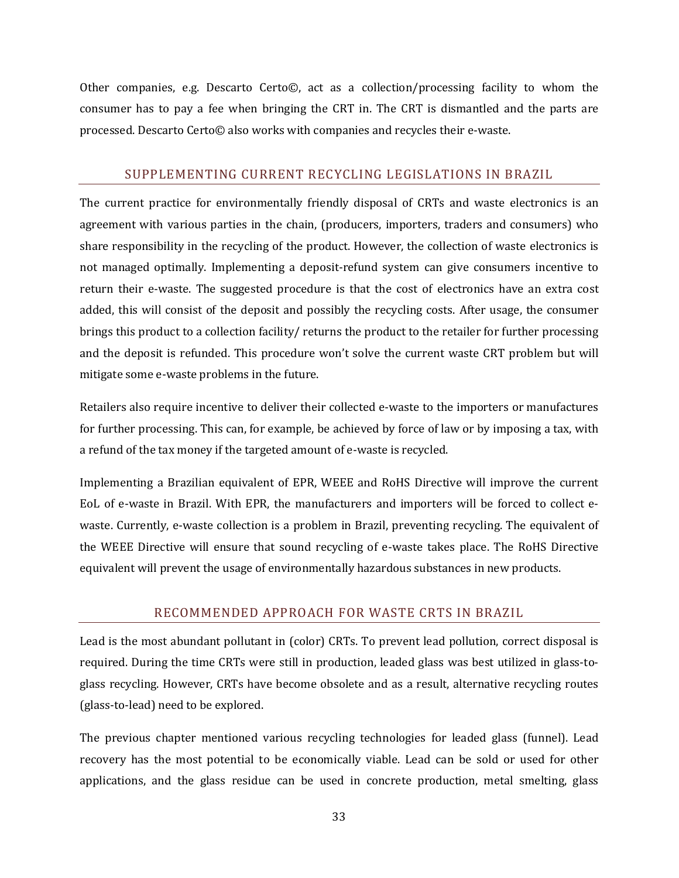Other companies, e.g. Descarto Certo©, act as a collection/processing facility to whom the consumer has to pay a fee when bringing the CRT in. The CRT is dismantled and the parts are processed. Descarto Certo© also works with companies and recycles their e-waste.

# SUPPLEMENTING CURRENT RECYCLING LEGISLATIONS IN BRAZIL

The current practice for environmentally friendly disposal of CRTs and waste electronics is an agreement with various parties in the chain, (producers, importers, traders and consumers) who share responsibility in the recycling of the product. However, the collection of waste electronics is not managed optimally. Implementing a deposit-refund system can give consumers incentive to return their e-waste. The suggested procedure is that the cost of electronics have an extra cost added, this will consist of the deposit and possibly the recycling costs. After usage, the consumer brings this product to a collection facility/ returns the product to the retailer for further processing and the deposit is refunded. This procedure won't solve the current waste CRT problem but will mitigate some e-waste problems in the future.

Retailers also require incentive to deliver their collected e-waste to the importers or manufactures for further processing. This can, for example, be achieved by force of law or by imposing a tax, with a refund of the tax money if the targeted amount of e-waste is recycled.

Implementing a Brazilian equivalent of EPR, WEEE and RoHS Directive will improve the current EoL of e-waste in Brazil. With EPR, the manufacturers and importers will be forced to collect ewaste. Currently, e-waste collection is a problem in Brazil, preventing recycling. The equivalent of the WEEE Directive will ensure that sound recycling of e-waste takes place. The RoHS Directive equivalent will prevent the usage of environmentally hazardous substances in new products.

# RECOMMENDED APPROACH FOR WASTE CRTS IN BRAZIL

Lead is the most abundant pollutant in (color) CRTs. To prevent lead pollution, correct disposal is required. During the time CRTs were still in production, leaded glass was best utilized in glass-toglass recycling. However, CRTs have become obsolete and as a result, alternative recycling routes (glass-to-lead) need to be explored.

The previous chapter mentioned various recycling technologies for leaded glass (funnel). Lead recovery has the most potential to be economically viable. Lead can be sold or used for other applications, and the glass residue can be used in concrete production, metal smelting, glass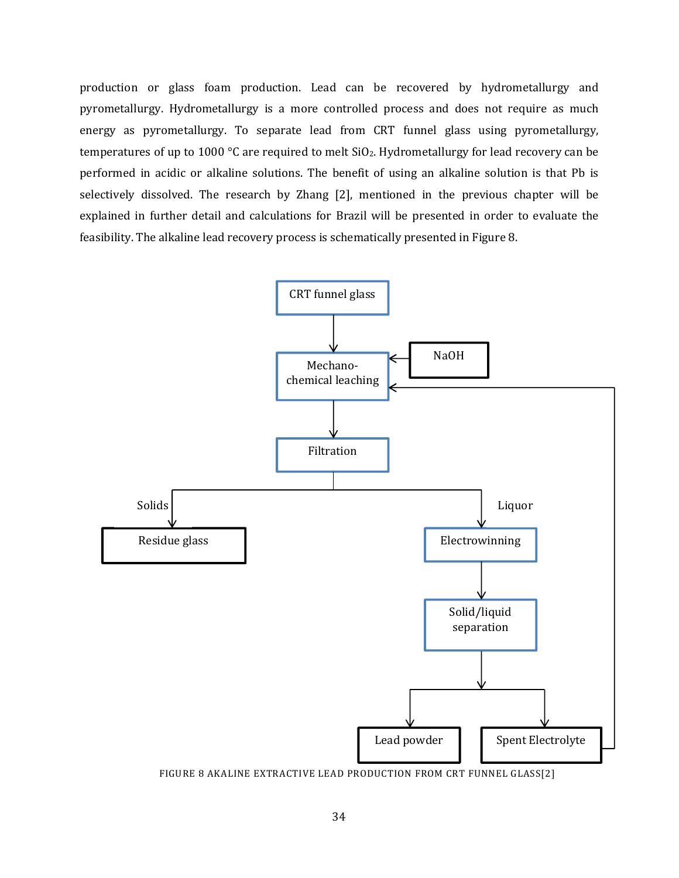production or glass foam production. Lead can be recovered by hydrometallurgy and pyrometallurgy. Hydrometallurgy is a more controlled process and does not require as much energy as pyrometallurgy. To separate lead from CRT funnel glass using pyrometallurgy, temperatures of up to 1000 °C are required to melt SiO<sub>2</sub>. Hydrometallurgy for lead recovery can be performed in acidic or alkaline solutions. The benefit of using an alkaline solution is that Pb is selectively dissolved. The research by Zhang [2], mentioned in the previous chapter will be explained in further detail and calculations for Brazil will be presented in order to evaluate the feasibility. The alkaline lead recovery process is schematically presented in Figure 8.

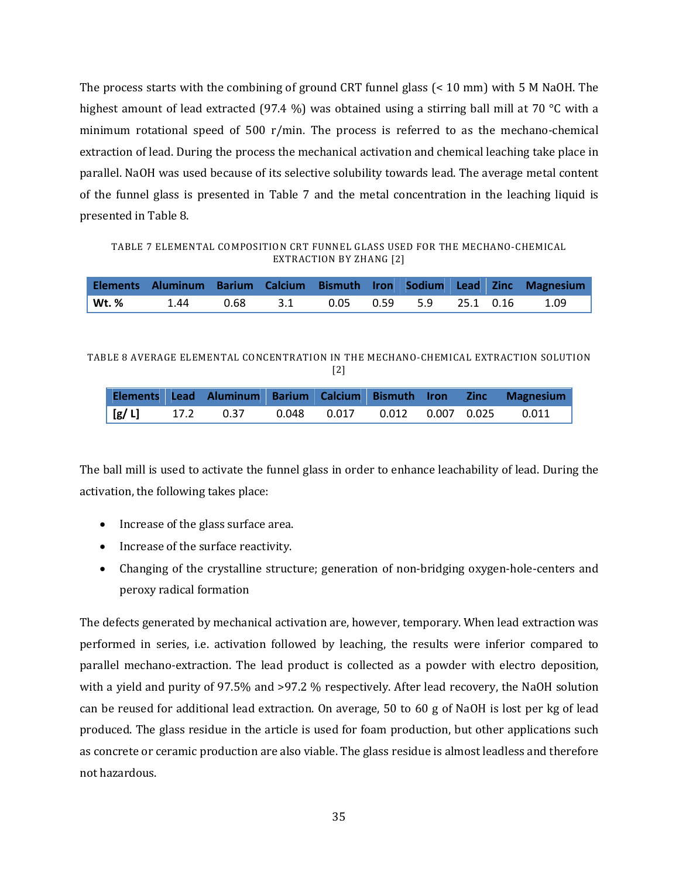The process starts with the combining of ground CRT funnel glass (< 10 mm) with 5 M NaOH. The highest amount of lead extracted (97.4 %) was obtained using a stirring ball mill at 70 °C with a minimum rotational speed of 500 r/min. The process is referred to as the mechano-chemical extraction of lead. During the process the mechanical activation and chemical leaching take place in parallel. NaOH was used because of its selective solubility towards lead. The average metal content of the funnel glass is presented in Table 7 and the metal concentration in the leaching liquid is presented in Table 8.

TABLE 7 ELEMENTAL COMPOSITION CRT FUNNEL GLASS USED FOR THE MECHANO-CHEMICAL EXTRACTION BY ZHANG [2]

|       |  |                                              |  |  | Elements Aluminum Barium Calcium Bismuth Iron Sodium Lead Zinc Magnesium |
|-------|--|----------------------------------------------|--|--|--------------------------------------------------------------------------|
| Wt. % |  | $1.44$ 0.68 3.1 0.05 0.59 5.9 25.1 0.16 1.09 |  |  |                                                                          |

TABLE 8 AVERAGE ELEMENTAL CONCENTRATION IN THE MECHANO-CHEMICAL EXTRACTION SOLUTION [2]

|  |                                                       |  |  | Elements Lead Aluminum Barium Calcium Bismuth Iron Zinc Magnesium |
|--|-------------------------------------------------------|--|--|-------------------------------------------------------------------|
|  | $[g/L]$ 17.2 0.37 0.048 0.017 0.012 0.007 0.025 0.011 |  |  |                                                                   |

The ball mill is used to activate the funnel glass in order to enhance leachability of lead. During the activation, the following takes place:

- Increase of the glass surface area.
- Increase of the surface reactivity.
- Changing of the crystalline structure; generation of non-bridging oxygen-hole-centers and peroxy radical formation

The defects generated by mechanical activation are, however, temporary. When lead extraction was performed in series, i.e. activation followed by leaching, the results were inferior compared to parallel mechano-extraction. The lead product is collected as a powder with electro deposition, with a yield and purity of 97.5% and >97.2 % respectively. After lead recovery, the NaOH solution can be reused for additional lead extraction. On average, 50 to 60 g of NaOH is lost per kg of lead produced. The glass residue in the article is used for foam production, but other applications such as concrete or ceramic production are also viable. The glass residue is almost leadless and therefore not hazardous.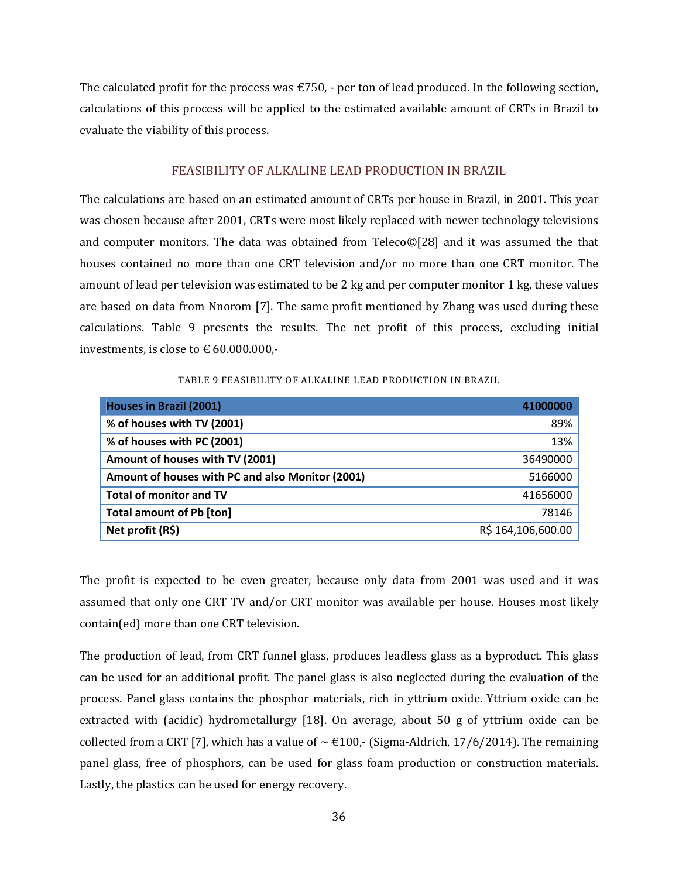The calculated profit for the process was  $\epsilon$ 750, - per ton of lead produced. In the following section, calculations of this process will be applied to the estimated available amount of CRTs in Brazil to evaluate the viability of this process.

# FEASIBILITY OF ALKALINE LEAD PRODUCTION IN BRAZIL

The calculations are based on an estimated amount of CRTs per house in Brazil, in 2001. This year was chosen because after 2001, CRTs were most likely replaced with newer technology televisions and computer monitors. The data was obtained from Teleco©[28] and it was assumed the that houses contained no more than one CRT television and/or no more than one CRT monitor. The amount of lead per television was estimated to be 2 kg and per computer monitor 1 kg, these values are based on data from Nnorom [7]. The same profit mentioned by Zhang was used during these calculations. Table 9 presents the results. The net profit of this process, excluding initial investments, is close to  $\text{\large\ensuremath{\in}} 60.000.000$ ,-

#### TABLE 9 FEASIBILITY OF ALKALINE LEAD PRODUCTION IN BRAZIL

| <b>Houses in Brazil (2001)</b>                   | 41000000           |
|--------------------------------------------------|--------------------|
| % of houses with TV (2001)                       | 89%                |
| % of houses with PC (2001)                       | 13%                |
| Amount of houses with TV (2001)                  | 36490000           |
| Amount of houses with PC and also Monitor (2001) | 5166000            |
| <b>Total of monitor and TV</b>                   | 41656000           |
| <b>Total amount of Pb [ton]</b>                  | 78146              |
| Net profit (R\$)                                 | R\$ 164,106,600.00 |

The profit is expected to be even greater, because only data from 2001 was used and it was assumed that only one CRT TV and/or CRT monitor was available per house. Houses most likely contain(ed) more than one CRT television.

The production of lead, from CRT funnel glass, produces leadless glass as a byproduct. This glass can be used for an additional profit. The panel glass is also neglected during the evaluation of the process. Panel glass contains the phosphor materials, rich in yttrium oxide. Yttrium oxide can be extracted with (acidic) hydrometallurgy [18]. On average, about 50 g of yttrium oxide can be collected from a CRT [7], which has a value of  $\sim \text{\textsterling}100$ , (Sigma-Aldrich, 17/6/2014). The remaining panel glass, free of phosphors, can be used for glass foam production or construction materials. Lastly, the plastics can be used for energy recovery.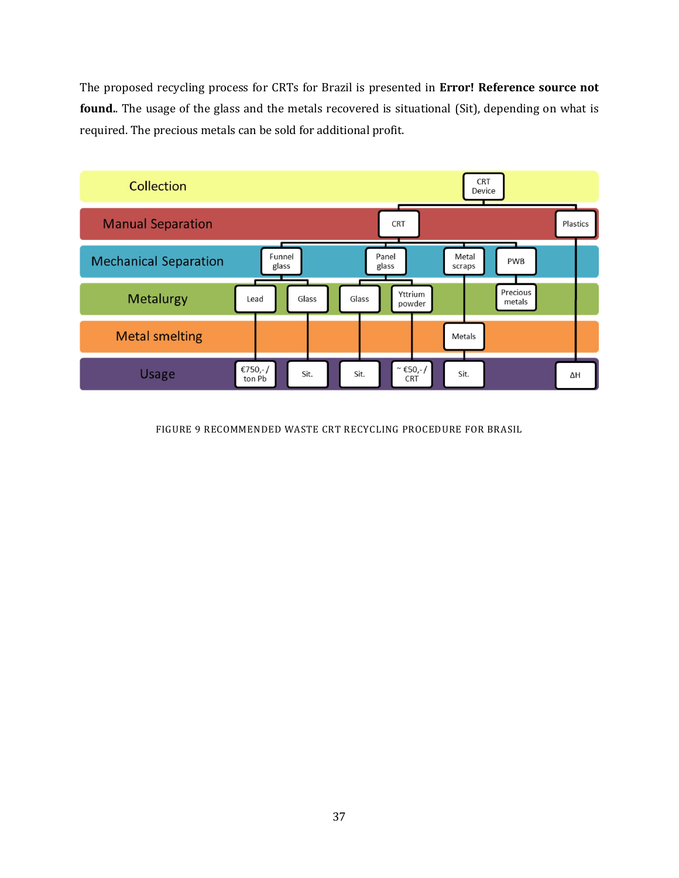The proposed recycling process for CRTs for Brazil is presented in **Error! Reference source not found.**. The usage of the glass and the metals recovered is situational (Sit), depending on what is required. The precious metals can be sold for additional profit.



FIGURE 9 RECOMMENDED WASTE CRT RECYCLING PROCEDURE FOR BRASIL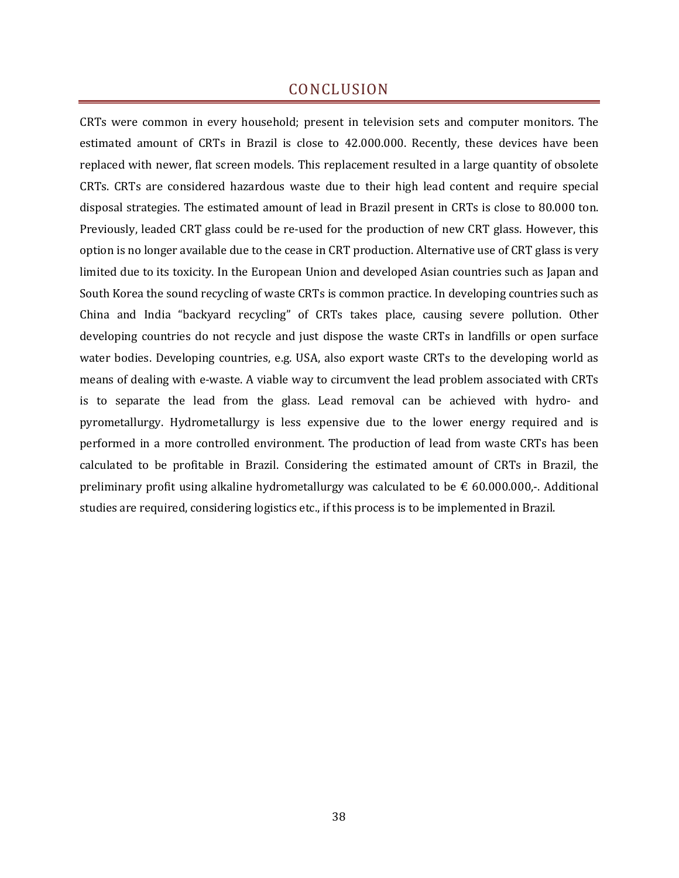# CONCLUSION

CRTs were common in every household; present in television sets and computer monitors. The estimated amount of CRTs in Brazil is close to 42.000.000. Recently, these devices have been replaced with newer, flat screen models. This replacement resulted in a large quantity of obsolete CRTs. CRTs are considered hazardous waste due to their high lead content and require special disposal strategies. The estimated amount of lead in Brazil present in CRTs is close to 80.000 ton. Previously, leaded CRT glass could be re-used for the production of new CRT glass. However, this option is no longer available due to the cease in CRT production. Alternative use of CRT glass is very limited due to its toxicity. In the European Union and developed Asian countries such as Japan and South Korea the sound recycling of waste CRTs is common practice. In developing countries such as China and India "backyard recycling" of CRTs takes place, causing severe pollution. Other developing countries do not recycle and just dispose the waste CRTs in landfills or open surface water bodies. Developing countries, e.g. USA, also export waste CRTs to the developing world as means of dealing with e-waste. A viable way to circumvent the lead problem associated with CRTs is to separate the lead from the glass. Lead removal can be achieved with hydro- and pyrometallurgy. Hydrometallurgy is less expensive due to the lower energy required and is performed in a more controlled environment. The production of lead from waste CRTs has been calculated to be profitable in Brazil. Considering the estimated amount of CRTs in Brazil, the preliminary profit using alkaline hydrometallurgy was calculated to be  $\epsilon$  60.000.000,-. Additional studies are required, considering logistics etc., if this process is to be implemented in Brazil.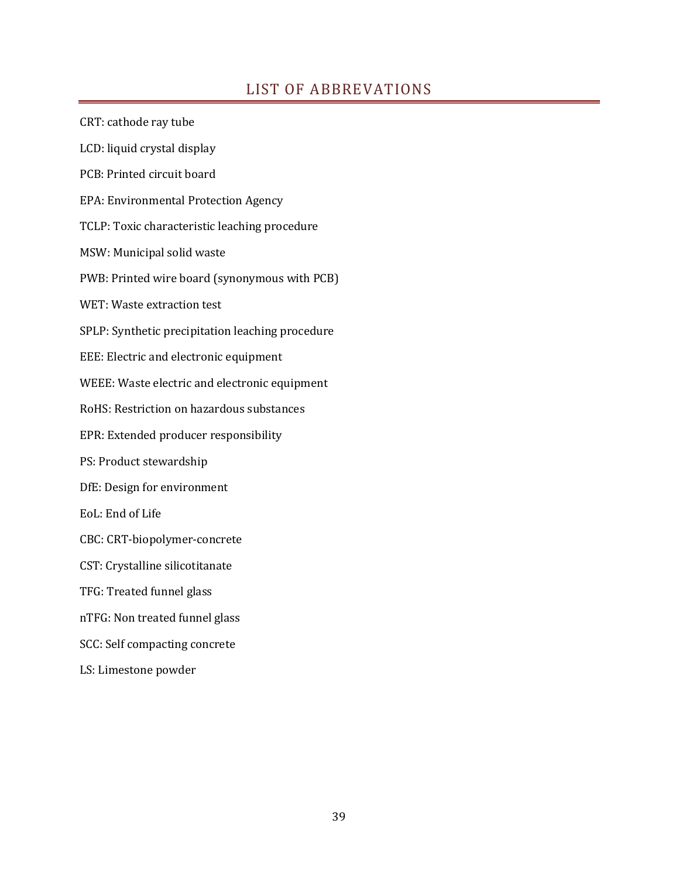# LIST OF ABBREVATIONS

CRT: cathode ray tube LCD: liquid crystal display PCB: Printed circuit board EPA: Environmental Protection Agency TCLP: Toxic characteristic leaching procedure MSW: Municipal solid waste PWB: Printed wire board (synonymous with PCB) WET: Waste extraction test SPLP: Synthetic precipitation leaching procedure EEE: Electric and electronic equipment WEEE: Waste electric and electronic equipment RoHS: Restriction on hazardous substances EPR: Extended producer responsibility PS: Product stewardship DfE: Design for environment EoL: End of Life CBC: CRT-biopolymer-concrete CST: Crystalline silicotitanate TFG: Treated funnel glass nTFG: Non treated funnel glass SCC: Self compacting concrete LS: Limestone powder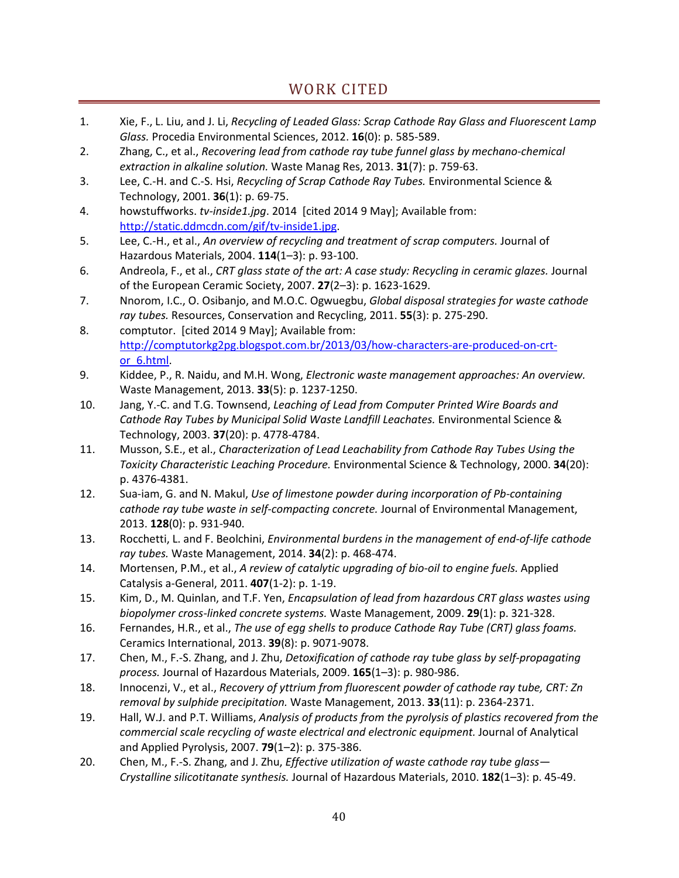- 1. Xie, F., L. Liu, and J. Li, *Recycling of Leaded Glass: Scrap Cathode Ray Glass and Fluorescent Lamp Glass.* Procedia Environmental Sciences, 2012. **16**(0): p. 585-589.
- 2. Zhang, C., et al., *Recovering lead from cathode ray tube funnel glass by mechano-chemical extraction in alkaline solution.* Waste Manag Res, 2013. **31**(7): p. 759-63.
- 3. Lee, C.-H. and C.-S. Hsi, *Recycling of Scrap Cathode Ray Tubes.* Environmental Science & Technology, 2001. **36**(1): p. 69-75.
- 4. howstuffworks. *tv-inside1.jpg*. 2014 [cited 2014 9 May]; Available from: http://static.ddmcdn.com/gif/tv-inside1.jpg.
- 5. Lee, C.-H., et al., *An overview of recycling and treatment of scrap computers.* Journal of Hazardous Materials, 2004. **114**(1–3): p. 93-100.
- 6. Andreola, F., et al., *CRT glass state of the art: A case study: Recycling in ceramic glazes.* Journal of the European Ceramic Society, 2007. **27**(2–3): p. 1623-1629.
- 7. Nnorom, I.C., O. Osibanjo, and M.O.C. Ogwuegbu, *Global disposal strategies for waste cathode ray tubes.* Resources, Conservation and Recycling, 2011. **55**(3): p. 275-290.
- 8. comptutor. [cited 2014 9 May]; Available from: http://comptutorkg2pg.blogspot.com.br/2013/03/how-characters-are-produced-on-crtor\_6.html.
- 9. Kiddee, P., R. Naidu, and M.H. Wong, *Electronic waste management approaches: An overview.* Waste Management, 2013. **33**(5): p. 1237-1250.
- 10. Jang, Y.-C. and T.G. Townsend, *Leaching of Lead from Computer Printed Wire Boards and Cathode Ray Tubes by Municipal Solid Waste Landfill Leachates.* Environmental Science & Technology, 2003. **37**(20): p. 4778-4784.
- 11. Musson, S.E., et al., *Characterization of Lead Leachability from Cathode Ray Tubes Using the Toxicity Characteristic Leaching Procedure.* Environmental Science & Technology, 2000. **34**(20): p. 4376-4381.
- 12. Sua-iam, G. and N. Makul, *Use of limestone powder during incorporation of Pb-containing cathode ray tube waste in self-compacting concrete.* Journal of Environmental Management, 2013. **128**(0): p. 931-940.
- 13. Rocchetti, L. and F. Beolchini, *Environmental burdens in the management of end-of-life cathode ray tubes.* Waste Management, 2014. **34**(2): p. 468-474.
- 14. Mortensen, P.M., et al., *A review of catalytic upgrading of bio-oil to engine fuels.* Applied Catalysis a-General, 2011. **407**(1-2): p. 1-19.
- 15. Kim, D., M. Quinlan, and T.F. Yen, *Encapsulation of lead from hazardous CRT glass wastes using biopolymer cross-linked concrete systems.* Waste Management, 2009. **29**(1): p. 321-328.
- 16. Fernandes, H.R., et al., *The use of egg shells to produce Cathode Ray Tube (CRT) glass foams.* Ceramics International, 2013. **39**(8): p. 9071-9078.
- 17. Chen, M., F.-S. Zhang, and J. Zhu, *Detoxification of cathode ray tube glass by self-propagating process.* Journal of Hazardous Materials, 2009. **165**(1–3): p. 980-986.
- 18. Innocenzi, V., et al., *Recovery of yttrium from fluorescent powder of cathode ray tube, CRT: Zn removal by sulphide precipitation.* Waste Management, 2013. **33**(11): p. 2364-2371.
- 19. Hall, W.J. and P.T. Williams, *Analysis of products from the pyrolysis of plastics recovered from the commercial scale recycling of waste electrical and electronic equipment.* Journal of Analytical and Applied Pyrolysis, 2007. **79**(1–2): p. 375-386.
- 20. Chen, M., F.-S. Zhang, and J. Zhu, *Effective utilization of waste cathode ray tube glass— Crystalline silicotitanate synthesis.* Journal of Hazardous Materials, 2010. **182**(1–3): p. 45-49.